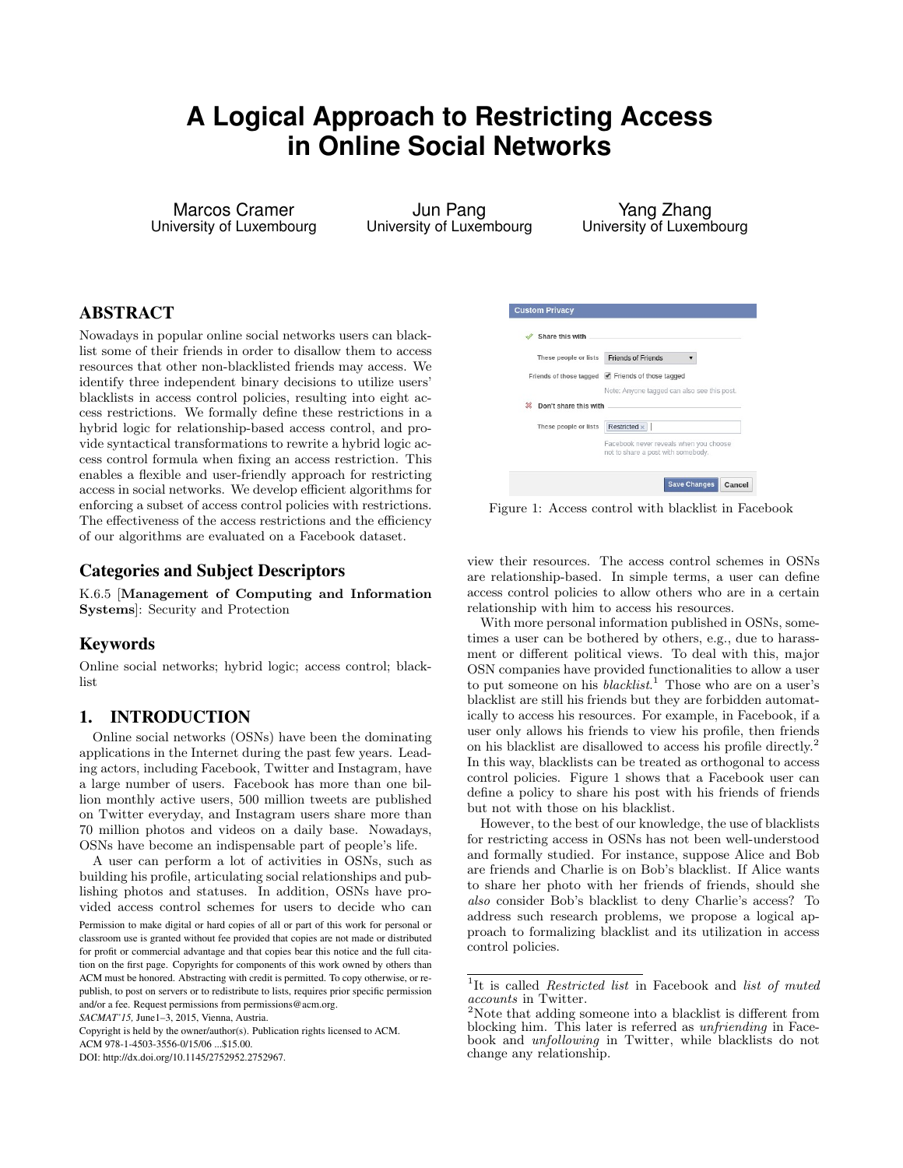# **A Logical Approach to Restricting Access in Online Social Networks**

Marcos Cramer University of Luxembourg

Jun Pang University of Luxembourg

Yang Zhang University of Luxembourg

## ABSTRACT

Nowadays in popular online social networks users can blacklist some of their friends in order to disallow them to access resources that other non-blacklisted friends may access. We identify three independent binary decisions to utilize users' blacklists in access control policies, resulting into eight access restrictions. We formally define these restrictions in a hybrid logic for relationship-based access control, and provide syntactical transformations to rewrite a hybrid logic access control formula when fixing an access restriction. This enables a flexible and user-friendly approach for restricting access in social networks. We develop efficient algorithms for enforcing a subset of access control policies with restrictions. The effectiveness of the access restrictions and the efficiency of our algorithms are evaluated on a Facebook dataset.

## Categories and Subject Descriptors

K.6.5 [Management of Computing and Information Systems]: Security and Protection

## Keywords

Online social networks; hybrid logic; access control; blacklist

## <span id="page-0-3"></span>1. INTRODUCTION

Online social networks (OSNs) have been the dominating applications in the Internet during the past few years. Leading actors, including Facebook, Twitter and Instagram, have a large number of users. Facebook has more than one billion monthly active users, 500 million tweets are published on Twitter everyday, and Instagram users share more than 70 million photos and videos on a daily base. Nowadays, OSNs have become an indispensable part of people's life.

A user can perform a lot of activities in OSNs, such as building his profile, articulating social relationships and publishing photos and statuses. In addition, OSNs have provided access control schemes for users to decide who can

<span id="page-0-2"></span>

| These people or lists      | <b>Friends of Friends</b>                                             |
|----------------------------|-----------------------------------------------------------------------|
|                            | Friends of those tagged $\blacktriangleright$ Friends of those tagged |
|                            |                                                                       |
|                            |                                                                       |
| Don't share this with<br>突 |                                                                       |
| These people or lists      | Note: Anyone tagged can also see this post.<br>Restricted x           |

Figure 1: Access control with blacklist in Facebook

view their resources. The access control schemes in OSNs are relationship-based. In simple terms, a user can define access control policies to allow others who are in a certain relationship with him to access his resources.

With more personal information published in OSNs, sometimes a user can be bothered by others, e.g., due to harassment or different political views. To deal with this, major OSN companies have provided functionalities to allow a user to put someone on his *blacklist*.<sup>[1](#page-0-0)</sup> Those who are on a user's blacklist are still his friends but they are forbidden automatically to access his resources. For example, in Facebook, if a user only allows his friends to view his profile, then friends on his blacklist are disallowed to access his profile directly.[2](#page-0-1) In this way, blacklists can be treated as orthogonal to access control policies. Figure [1](#page-0-2) shows that a Facebook user can define a policy to share his post with his friends of friends but not with those on his blacklist.

However, to the best of our knowledge, the use of blacklists for restricting access in OSNs has not been well-understood and formally studied. For instance, suppose Alice and Bob are friends and Charlie is on Bob's blacklist. If Alice wants to share her photo with her friends of friends, should she also consider Bob's blacklist to deny Charlie's access? To address such research problems, we propose a logical approach to formalizing blacklist and its utilization in access control policies.

Permission to make digital or hard copies of all or part of this work for personal or classroom use is granted without fee provided that copies are not made or distributed for profit or commercial advantage and that copies bear this notice and the full citation on the first page. Copyrights for components of this work owned by others than ACM must be honored. Abstracting with credit is permitted. To copy otherwise, or republish, to post on servers or to redistribute to lists, requires prior specific permission and/or a fee. Request permissions from permissions@acm.org.

*SACMAT'15,* June1–3, 2015, Vienna, Austria.

Copyright is held by the owner/author(s). Publication rights licensed to ACM. ACM 978-1-4503-3556-0/15/06 ...\$15.00.

DOI: http://dx.doi.org/10.1145/2752952.2752967.

<span id="page-0-0"></span><sup>&</sup>lt;sup>1</sup>It is called *Restricted list* in Facebook and *list of muted* accounts in Twitter.

<span id="page-0-1"></span><sup>&</sup>lt;sup>2</sup>Note that adding someone into a blacklist is different from blocking him. This later is referred as unfriending in Facebook and *unfollowing* in Twitter, while blacklists do not change any relationship.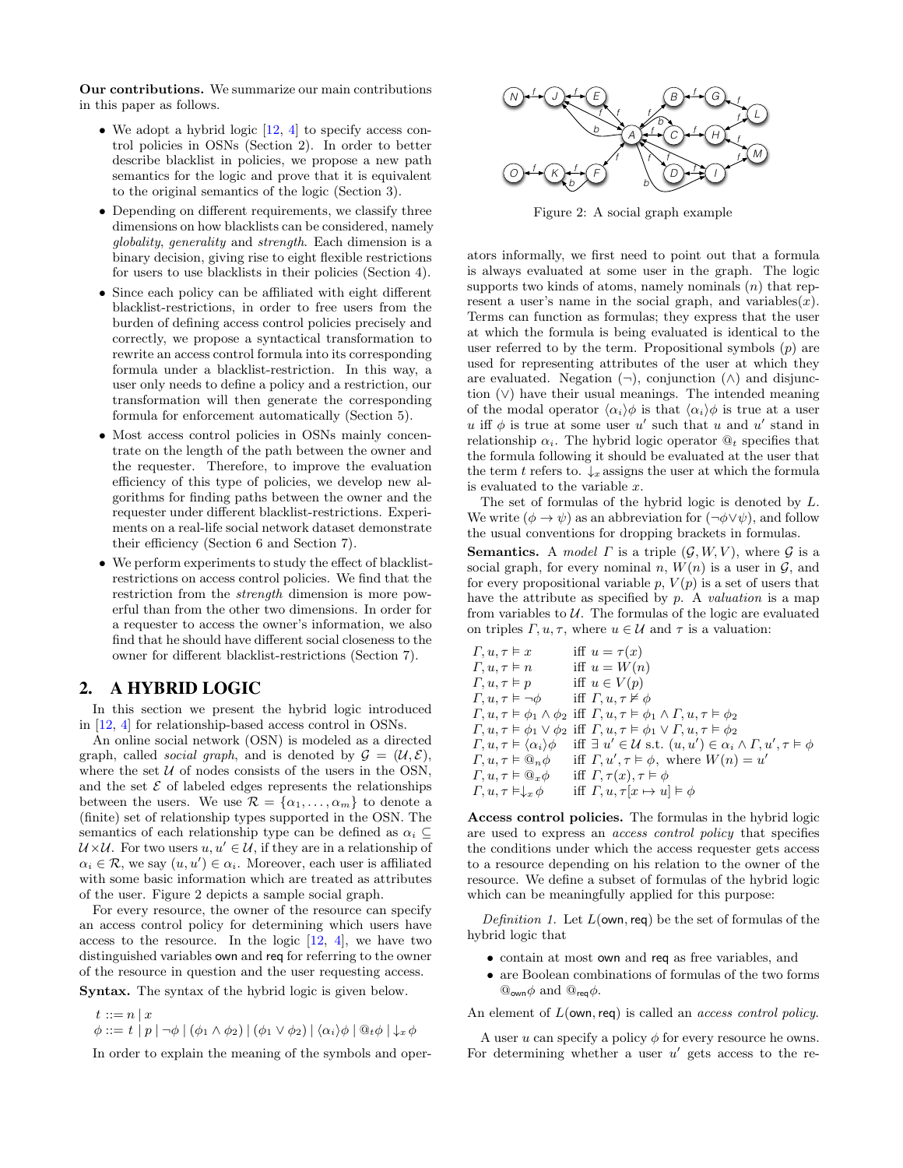Our contributions. We summarize our main contributions in this paper as follows.

- We adopt a hybrid logic  $[12, 4]$  $[12, 4]$  to specify access control policies in OSNs (Section [2\)](#page-1-0). In order to better describe blacklist in policies, we propose a new path semantics for the logic and prove that it is equivalent to the original semantics of the logic (Section [3\)](#page-2-0).
- Depending on different requirements, we classify three dimensions on how blacklists can be considered, namely globality, generality and strength. Each dimension is a binary decision, giving rise to eight flexible restrictions for users to use blacklists in their policies (Section [4\)](#page-2-1).
- Since each policy can be affiliated with eight different blacklist-restrictions, in order to free users from the burden of defining access control policies precisely and correctly, we propose a syntactical transformation to rewrite an access control formula into its corresponding formula under a blacklist-restriction. In this way, a user only needs to define a policy and a restriction, our transformation will then generate the corresponding formula for enforcement automatically (Section [5\)](#page-4-0).
- Most access control policies in OSNs mainly concentrate on the length of the path between the owner and the requester. Therefore, to improve the evaluation efficiency of this type of policies, we develop new algorithms for finding paths between the owner and the requester under different blacklist-restrictions. Experiments on a real-life social network dataset demonstrate their efficiency (Section [6](#page-5-0) and Section [7\)](#page-7-0).
- We perform experiments to study the effect of blacklistrestrictions on access control policies. We find that the restriction from the strength dimension is more powerful than from the other two dimensions. In order for a requester to access the owner's information, we also find that he should have different social closeness to the owner for different blacklist-restrictions (Section [7\)](#page-7-0).

## <span id="page-1-0"></span>2. A HYBRID LOGIC

In this section we present the hybrid logic introduced in [\[12,](#page-10-0) [4\]](#page-9-0) for relationship-based access control in OSNs.

An online social network (OSN) is modeled as a directed graph, called *social graph*, and is denoted by  $\mathcal{G} = (\mathcal{U}, \mathcal{E})$ , where the set  $U$  of nodes consists of the users in the OSN, and the set  $\mathcal E$  of labeled edges represents the relationships between the users. We use  $\mathcal{R} = {\alpha_1, \ldots, \alpha_m}$  to denote a (finite) set of relationship types supported in the OSN. The semantics of each relationship type can be defined as  $\alpha_i \subset$  $U \times U$ . For two users  $u, u' \in U$ , if they are in a relationship of  $\alpha_i \in \mathcal{R}$ , we say  $(u, u') \in \alpha_i$ . Moreover, each user is affiliated with some basic information which are treated as attributes of the user. Figure [2](#page-1-1) depicts a sample social graph.

For every resource, the owner of the resource can specify an access control policy for determining which users have access to the resource. In the logic  $[12, 4]$  $[12, 4]$ , we have two distinguished variables own and req for referring to the owner of the resource in question and the user requesting access.

Syntax. The syntax of the hybrid logic is given below.

 $t ::= n | x$  $\phi ::= t | p | \neg \phi | (\phi_1 \wedge \phi_2) | (\phi_1 \vee \phi_2) | \langle \alpha_i \rangle \phi | \mathbb{Q}_t \phi | \downarrow_x \phi$ 

In order to explain the meaning of the symbols and oper-

<span id="page-1-1"></span>

Figure 2: A social graph example

ators informally, we first need to point out that a formula is always evaluated at some user in the graph. The logic supports two kinds of atoms, namely nominals  $(n)$  that represent a user's name in the social graph, and variables $(x)$ . Terms can function as formulas; they express that the user at which the formula is being evaluated is identical to the user referred to by the term. Propositional symbols  $(p)$  are used for representing attributes of the user at which they are evaluated. Negation  $(\neg)$ , conjunction  $(\wedge)$  and disjunction (∨) have their usual meanings. The intended meaning of the modal operator  $\langle \alpha_i \rangle \phi$  is that  $\langle \alpha_i \rangle \phi$  is true at a user u iff  $\phi$  is true at some user u' such that u and u' stand in relationship  $\alpha_i$ . The hybrid logic operator  $\mathcal{Q}_t$  specifies that the formula following it should be evaluated at the user that the term t refers to.  $\downarrow_x$  assigns the user at which the formula is evaluated to the variable x.

The set of formulas of the hybrid logic is denoted by L. We write  $(\phi \to \psi)$  as an abbreviation for  $(\neg \phi \lor \psi)$ , and follow the usual conventions for dropping brackets in formulas.

**Semantics.** A model  $\Gamma$  is a triple  $(\mathcal{G}, W, V)$ , where  $\mathcal{G}$  is a social graph, for every nominal n,  $W(n)$  is a user in  $\mathcal{G}$ , and for every propositional variable  $p, V(p)$  is a set of users that have the attribute as specified by  $p$ . A *valuation* is a map from variables to  $U$ . The formulas of the logic are evaluated on triples  $\Gamma, u, \tau$ , where  $u \in \mathcal{U}$  and  $\tau$  is a valuation:

$$
F, u, \tau \vDash x \quad \text{iff } u = \tau(x)
$$
  
\n
$$
F, u, \tau \vDash n \quad \text{iff } u = W(n)
$$
  
\n
$$
F, u, \tau \vDash p \quad \text{iff } u \in V(p)
$$
  
\n
$$
F, u, \tau \vDash \neg \phi \quad \text{iff } F, u, \tau \nvDash \phi
$$
  
\n
$$
F, u, \tau \vDash \phi_1 \land \phi_2 \text{ iff } F, u, \tau \vDash \phi_1 \land F, u, \tau \vDash \phi_2
$$
  
\n
$$
F, u, \tau \vDash \phi_1 \lor \phi_2 \text{ iff } F, u, \tau \vDash \phi_1 \lor F, u, \tau \vDash \phi_2
$$
  
\n
$$
F, u, \tau \vDash (\alpha_i) \phi \quad \text{iff } \exists u' \in U \text{ s.t. } (u, u') \in \alpha_i \land F, u', \tau \vDash \phi
$$
  
\n
$$
F, u, \tau \vDash \mathbb{Q}_x \phi \quad \text{iff } F, u', \tau \vDash \phi, \text{ where } W(n) = u'
$$
  
\n
$$
F, u, \tau \vDash \mathbb{Q}_x \phi \quad \text{iff } F, \tau(x), \tau \vDash \phi
$$
  
\n
$$
F, u, \tau \vDash \downarrow_x \phi \quad \text{iff } F, u, \tau[x \mapsto u] \vDash \phi
$$

Access control policies. The formulas in the hybrid logic are used to express an access control policy that specifies the conditions under which the access requester gets access to a resource depending on his relation to the owner of the resource. We define a subset of formulas of the hybrid logic which can be meaningfully applied for this purpose:

Definition 1. Let  $L(\text{own},\text{req})$  be the set of formulas of the hybrid logic that

- contain at most own and req as free variables, and
- are Boolean combinations of formulas of the two forms  $\mathbb{Q}_{\text{own}}\phi$  and  $\mathbb{Q}_{\text{req}}\phi$ .

An element of  $L(\text{own},\text{reg})$  is called an *access control policy*.

A user u can specify a policy  $\phi$  for every resource he owns. For determining whether a user  $u'$  gets access to the re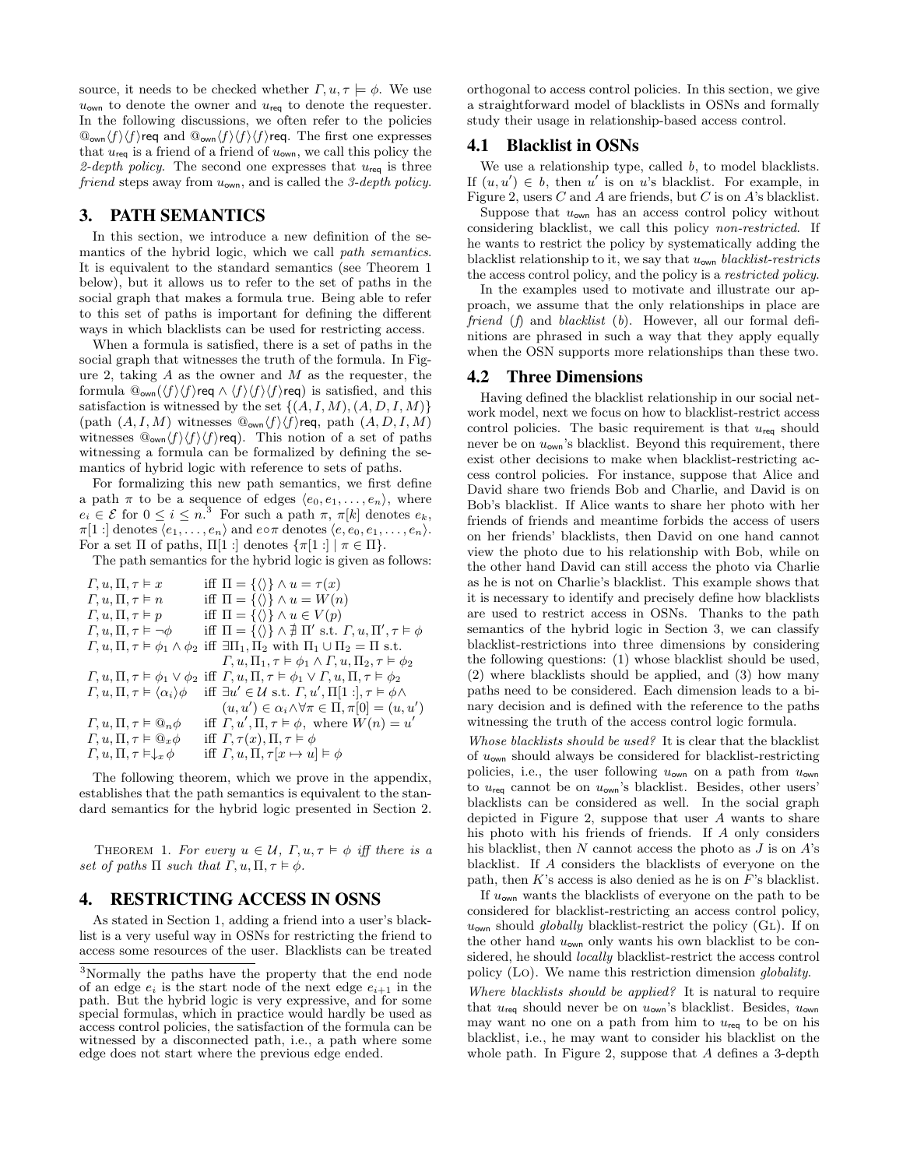source, it needs to be checked whether  $\Gamma, u, \tau \models \phi$ . We use  $u_{\text{own}}$  to denote the owner and  $u_{\text{req}}$  to denote the requester. In the following discussions, we often refer to the policies  $\mathbb{Q}_{\mathsf{own}}\langle f\rangle\langle f\rangle$ req and  $\mathbb{Q}_{\mathsf{own}}\langle f\rangle\langle f\rangle\langle f\rangle$ req. The first one expresses that  $u_{\text{req}}$  is a friend of a friend of  $u_{\text{own}}$ , we call this policy the 2-depth policy. The second one expresses that  $u_{\text{req}}$  is three friend steps away from  $u_{\text{own}}$ , and is called the 3-depth policy.

## <span id="page-2-0"></span>3. PATH SEMANTICS

In this section, we introduce a new definition of the semantics of the hybrid logic, which we call path semantics. It is equivalent to the standard semantics (see Theorem [1](#page-2-2) below), but it allows us to refer to the set of paths in the social graph that makes a formula true. Being able to refer to this set of paths is important for defining the different ways in which blacklists can be used for restricting access.

When a formula is satisfied, there is a set of paths in the social graph that witnesses the truth of the formula. In Fig-ure [2,](#page-1-1) taking  $A$  as the owner and  $M$  as the requester, the formula  $\mathbb{Q}_{\text{own}}(\langle f \rangle \langle f \rangle \text{req} \wedge \langle f \rangle \langle f \rangle \langle f \rangle \text{req})$  is satisfied, and this satisfaction is witnessed by the set  $\{(A, I, M), (A, D, I, M)\}$ (path  $(A, I, M)$  witnesses  $\mathbb{Q}_{\text{own}}(f)\langle f\rangle$ req, path  $(A, D, I, M)$ witnesses  $\mathbb{Q}_{\text{own}}\langle f\rangle\langle f\rangle\langle f\rangle$ req). This notion of a set of paths witnessing a formula can be formalized by defining the semantics of hybrid logic with reference to sets of paths.

For formalizing this new path semantics, we first define a path  $\pi$  to be a sequence of edges  $\langle e_0, e_1, \ldots, e_n \rangle$ , where  $e_i \in \mathcal{E}$  for  $0 \leq i \leq n$ .<sup>[3](#page-2-3)</sup> For such a path  $\pi$ ,  $\pi[k]$  denotes  $e_k$ ,  $\pi[1:]$  denotes  $\langle e_1, \ldots, e_n \rangle$  and  $e \circ \pi$  denotes  $\langle e, e_0, e_1, \ldots, e_n \rangle$ . For a set  $\Pi$  of paths,  $\Pi[1:]$  denotes  $\{\pi[1:] | \pi \in \Pi\}.$ 

The path semantics for the hybrid logic is given as follows:

 $\Gamma, u, \Pi, \tau \models x$  iff  $\Pi = {\langle} \langle \rangle$   $\} \land u = \tau(x)$ <br>  $\Gamma, u, \Pi, \tau \models n$  iff  $\Pi = {\langle} \langle \rangle$   $\} \land u = W(n)$ iff  $\Pi = {\langle \rangle} \wedge u = W(n)$  $\Gamma, u, \Pi, \tau \models p$  iff  $\Pi = {\langle} \langle \rangle \} \wedge u \in V(p)$  $\Gamma, u, \Pi, \tau \models \neg \phi$  iff  $\Pi = {\emptyset} \setminus {\emptyset} \land \nexists \Pi' \text{ s.t. } \Gamma, u, \Pi', \tau \models \phi$  $\Gamma, u, \Pi, \tau \models \phi_1 \land \phi_2$  iff  $\exists \Pi_1, \Pi_2$  with  $\Pi_1 \cup \Pi_2 = \Pi$  s.t.  $\Gamma, u, \Pi_1, \tau \models \phi_1 \wedge \Gamma, u, \Pi_2, \tau \models \phi_2$  $\Gamma, u, \Pi, \tau \models \phi_1 \lor \phi_2$  iff  $\Gamma, u, \Pi, \tau \models \phi_1 \lor \Gamma, u, \Pi, \tau \models \phi_2$  $\Gamma, u, \Pi, \tau \models \langle \alpha_i \rangle \phi$  $\ell \in \mathcal{U}$  s.t.  $\Gamma, u', \Pi[1:], \tau \models \phi \wedge$  $(u, u') \in \alpha_i \wedge \forall \pi \in \Pi, \pi[0] = (u, u')$  $\Gamma, u, \Pi, \tau \vDash \mathbb{Q}_n \phi$  $,\Pi,\tau \models \phi, \text{ where } W(n) = u'$  $\Gamma, u, \Pi, \tau \models \mathbb{Q}_x \phi$  iff  $\Gamma, \tau(x), \Pi, \tau \models \phi$  $\Gamma, u, \Pi, \tau \models \downarrow_x \phi$  iff  $\Gamma, u, \Pi, \tau[x \mapsto u] \models \phi$ 

The following theorem, which we prove in the appendix, establishes that the path semantics is equivalent to the standard semantics for the hybrid logic presented in Section [2.](#page-1-0)

<span id="page-2-2"></span>THEOREM 1. For every  $u \in \mathcal{U}$ ,  $\Gamma, u, \tau \models \phi$  iff there is a set of paths  $\Pi$  such that  $\Gamma, u, \Pi, \tau \models \phi$ .

## <span id="page-2-1"></span>4. RESTRICTING ACCESS IN OSNS

As stated in Section [1,](#page-0-3) adding a friend into a user's blacklist is a very useful way in OSNs for restricting the friend to access some resources of the user. Blacklists can be treated orthogonal to access control policies. In this section, we give a straightforward model of blacklists in OSNs and formally study their usage in relationship-based access control.

## 4.1 Blacklist in OSNs

We use a relationship type, called  $b$ , to model blacklists. If  $(u, u') \in b$ , then u' is on u's blacklist. For example, in Figure [2,](#page-1-1) users  $C$  and  $A$  are friends, but  $C$  is on  $A$ 's blacklist.

Suppose that  $u_{\text{own}}$  has an access control policy without considering blacklist, we call this policy non-restricted. If he wants to restrict the policy by systematically adding the blacklist relationship to it, we say that  $u_{\text{own}}$  blacklist-restricts the access control policy, and the policy is a restricted policy.

In the examples used to motivate and illustrate our approach, we assume that the only relationships in place are friend (f) and blacklist (b). However, all our formal definitions are phrased in such a way that they apply equally when the OSN supports more relationships than these two.

#### 4.2 Three Dimensions

Having defined the blacklist relationship in our social network model, next we focus on how to blacklist-restrict access control policies. The basic requirement is that  $u_{\text{req}}$  should never be on  $u_{\text{own}}$ 's blacklist. Beyond this requirement, there exist other decisions to make when blacklist-restricting access control policies. For instance, suppose that Alice and David share two friends Bob and Charlie, and David is on Bob's blacklist. If Alice wants to share her photo with her friends of friends and meantime forbids the access of users on her friends' blacklists, then David on one hand cannot view the photo due to his relationship with Bob, while on the other hand David can still access the photo via Charlie as he is not on Charlie's blacklist. This example shows that it is necessary to identify and precisely define how blacklists are used to restrict access in OSNs. Thanks to the path semantics of the hybrid logic in Section [3,](#page-2-0) we can classify blacklist-restrictions into three dimensions by considering the following questions: (1) whose blacklist should be used, (2) where blacklists should be applied, and (3) how many paths need to be considered. Each dimension leads to a binary decision and is defined with the reference to the paths witnessing the truth of the access control logic formula.

Whose blacklists should be used? It is clear that the blacklist of  $u_{\text{own}}$  should always be considered for blacklist-restricting policies, i.e., the user following  $u_{\text{own}}$  on a path from  $u_{\text{own}}$ to  $u_{\text{req}}$  cannot be on  $u_{\text{own}}$ 's blacklist. Besides, other users' blacklists can be considered as well. In the social graph depicted in Figure [2,](#page-1-1) suppose that user  $A$  wants to share his photo with his friends of friends. If A only considers his blacklist, then  $N$  cannot access the photo as  $J$  is on  $A$ 's blacklist. If A considers the blacklists of everyone on the path, then  $K$ 's access is also denied as he is on  $F$ 's blacklist.

If  $u_{\text{own}}$  wants the blacklists of everyone on the path to be considered for blacklist-restricting an access control policy,  $u_{\text{own}}$  should globally blacklist-restrict the policy (GL). If on the other hand  $u_{\text{own}}$  only wants his own blacklist to be considered, he should locally blacklist-restrict the access control policy (Lo). We name this restriction dimension globality.

Where blacklists should be applied? It is natural to require that  $u_{\text{rea}}$  should never be on  $u_{\text{own}}$ 's blacklist. Besides,  $u_{\text{own}}$ may want no one on a path from him to  $u_{\text{req}}$  to be on his blacklist, i.e., he may want to consider his blacklist on the whole path. In Figure [2,](#page-1-1) suppose that A defines a 3-depth

<span id="page-2-3"></span><sup>3</sup>Normally the paths have the property that the end node of an edge  $e_i$  is the start node of the next edge  $e_{i+1}$  in the path. But the hybrid logic is very expressive, and for some special formulas, which in practice would hardly be used as access control policies, the satisfaction of the formula can be witnessed by a disconnected path, i.e., a path where some edge does not start where the previous edge ended.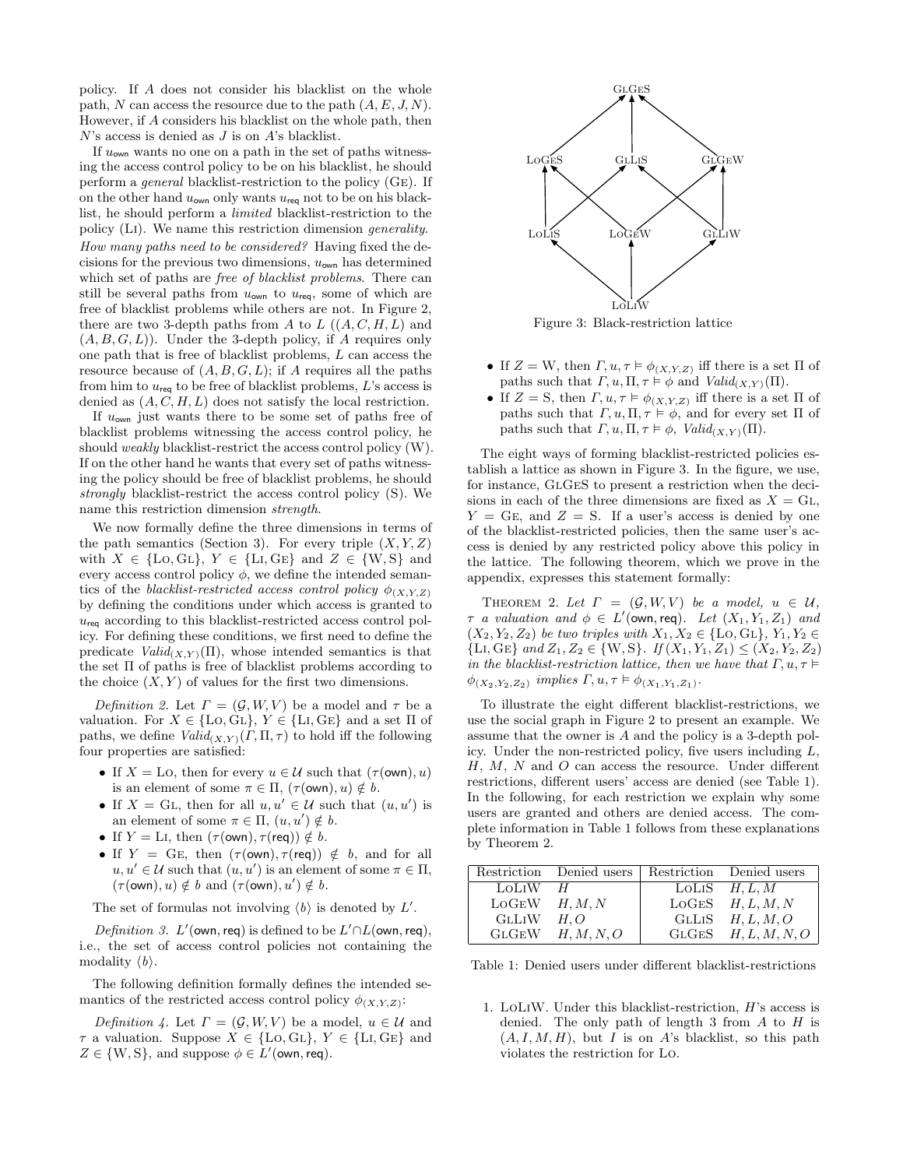policy. If A does not consider his blacklist on the whole path, N can access the resource due to the path  $(A, E, J, N)$ . However, if A considers his blacklist on the whole path, then  $N$ 's access is denied as  $J$  is on  $A$ 's blacklist.

If  $u_{\text{own}}$  wants no one on a path in the set of paths witnessing the access control policy to be on his blacklist, he should perform a general blacklist-restriction to the policy (Ge). If on the other hand  $u_{\text{own}}$  only wants  $u_{\text{req}}$  not to be on his blacklist, he should perform a limited blacklist-restriction to the policy (Li). We name this restriction dimension generality. How many paths need to be considered? Having fixed the decisions for the previous two dimensions,  $u_{\text{own}}$  has determined which set of paths are *free of blacklist problems*. There can still be several paths from  $u_{\text{own}}$  to  $u_{\text{req}}$ , some of which are free of blacklist problems while others are not. In Figure [2,](#page-1-1) there are two 3-depth paths from A to  $L((A, C, H, L)$  and  $(A, B, G, L)$ . Under the 3-depth policy, if A requires only one path that is free of blacklist problems, L can access the resource because of  $(A, B, G, L)$ ; if A requires all the paths from him to  $u_{\text{req}}$  to be free of blacklist problems, L's access is denied as  $(A, C, H, L)$  does not satisfy the local restriction.

If  $u_{\text{own}}$  just wants there to be some set of paths free of blacklist problems witnessing the access control policy, he should weakly blacklist-restrict the access control policy (W). If on the other hand he wants that every set of paths witnessing the policy should be free of blacklist problems, he should strongly blacklist-restrict the access control policy (S). We name this restriction dimension strength.

We now formally define the three dimensions in terms of the path semantics (Section [3\)](#page-2-0). For every triple  $(X, Y, Z)$ with  $X \in \{Lo, GL\}, Y \in \{Li, GE\}$  and  $Z \in \{W, S\}$  and every access control policy  $\phi$ , we define the intended semantics of the blacklist-restricted access control policy  $\phi_{(X,Y,Z)}$ by defining the conditions under which access is granted to  $u_{\text{req}}$  according to this blacklist-restricted access control policy. For defining these conditions, we first need to define the predicate  $Valid_{(X,Y)}(\Pi)$ , whose intended semantics is that the set Π of paths is free of blacklist problems according to the choice  $(X, Y)$  of values for the first two dimensions.

<span id="page-3-3"></span>Definition 2. Let  $\Gamma = (\mathcal{G}, W, V)$  be a model and  $\tau$  be a valuation. For  $X \in \{Lo, GL\}, Y \in \{Li, GE\}$  and a set  $\Pi$  of paths, we define  $Valid_{(X,Y)}(\Gamma,\Pi,\tau)$  to hold iff the following four properties are satisfied:

- If  $X =$  LO, then for every  $u \in \mathcal{U}$  such that  $(\tau(\text{own}), u)$ is an element of some  $\pi \in \Pi$ ,  $(\tau(\text{own}), u) \notin b$ .
- If  $X = GL$ , then for all  $u, u' \in \mathcal{U}$  such that  $(u, u')$  is an element of some  $\pi \in \Pi$ ,  $(u, u') \notin b$ .
- If  $Y = \text{Li}$ , then  $(\tau(\text{own}), \tau(\text{req})) \notin b$ .
- If  $Y = G_E$ , then  $(\tau(\text{own}), \tau(\text{req})) \notin b$ , and for all  $u, u' \in \mathcal{U}$  such that  $(u, u')$  is an element of some  $\pi \in \Pi$ ,  $(\tau(\text{own}), u) \notin b$  and  $(\tau(\text{own}), u') \notin b$ .

The set of formulas not involving  $\langle b \rangle$  is denoted by  $L'$ .

Definition 3. L'(own, req) is defined to be  $L' \cap L$ (own, req), i.e., the set of access control policies not containing the modality  $\langle b \rangle$ .

The following definition formally defines the intended semantics of the restricted access control policy  $\phi_{(X,Y,Z)}$ :

Definition 4. Let  $\Gamma = (\mathcal{G}, W, V)$  be a model,  $u \in \mathcal{U}$  and  $\tau$  a valuation. Suppose  $X \in \{\text{Lo}, \text{GL}\}, Y \in \{\text{Li}, \text{GE}\}$  and  $Z \in \{W, S\}$ , and suppose  $\phi \in L'$ (own, req).

<span id="page-3-0"></span>

Figure 3: Black-restriction lattice

- If  $Z = W$ , then  $\Gamma, u, \tau \models \phi_{(X,Y,Z)}$  iff there is a set  $\Pi$  of paths such that  $\Gamma, u, \Pi, \tau \models \phi$  and  $Valid_{(X,Y)}(\Pi)$ .
- If  $Z = S$ , then  $\Gamma, u, \tau \models \phi_{(X,Y,Z)}$  iff there is a set  $\Pi$  of paths such that  $\Gamma, u, \Pi, \tau \models \phi$ , and for every set  $\Pi$  of paths such that  $\Gamma, u, \Pi, \tau \models \phi$ ,  $Valid_{(X,Y)}(\Pi)$ .

The eight ways of forming blacklist-restricted policies establish a lattice as shown in Figure [3.](#page-3-0) In the figure, we use, for instance, GlGeS to present a restriction when the decisions in each of the three dimensions are fixed as  $X = GL$ ,  $Y = GE$ , and  $Z = S$ . If a user's access is denied by one of the blacklist-restricted policies, then the same user's access is denied by any restricted policy above this policy in the lattice. The following theorem, which we prove in the appendix, expresses this statement formally:

<span id="page-3-2"></span>THEOREM 2. Let  $\Gamma = (\mathcal{G}, W, V)$  be a model,  $u \in \mathcal{U}$ ,  $\tau$  a valuation and  $\phi \in L'(\text{own}, \text{req})$ . Let  $(X_1, Y_1, Z_1)$  and  $(X_2, Y_2, Z_2)$  be two triples with  $X_1, X_2 \in \{\text{Lo}, \text{GL}\}, Y_1, Y_2 \in$  ${L_i, G_E}$  and  $Z_1, Z_2 \in \{W, S\}$ . If  $(X_1, Y_1, Z_1) \leq (X_2, Y_2, Z_2)$ in the blacklist-restriction lattice, then we have that  $\Gamma, u, \tau \vDash$  $\phi_{(X_2,Y_2,Z_2)}$  implies  $\Gamma, u, \tau \models \phi_{(X_1,Y_1,Z_1)}$ .

To illustrate the eight different blacklist-restrictions, we use the social graph in Figure [2](#page-1-1) to present an example. We assume that the owner is A and the policy is a 3-depth policy. Under the non-restricted policy, five users including  $L$ , H, M, N and O can access the resource. Under different restrictions, different users' access are denied (see Table [1\)](#page-3-1). In the following, for each restriction we explain why some users are granted and others are denied access. The complete information in Table [1](#page-3-1) follows from these explanations by Theorem [2.](#page-3-2)

<span id="page-3-1"></span>

|                   | Restriction Denied users   Restriction Denied users |                         |
|-------------------|-----------------------------------------------------|-------------------------|
| LOLIW             | H                                                   | LOLIS $H, L, M$         |
| $LOGEW$ $H, M, N$ |                                                     | $LOGES$ $H, L, M, N$    |
| <b>GLLIW</b>      | H.O                                                 | GLLIS $H, L, M, O$      |
|                   | $GLGEW$ $H, M, N, O$                                | $GLGES$ $H, L, M, N, O$ |

Table 1: Denied users under different blacklist-restrictions

1. LoLiW. Under this blacklist-restriction, H's access is denied. The only path of length 3 from  $A$  to  $H$  is  $(A, I, M, H)$ , but I is on A's blacklist, so this path violates the restriction for Lo.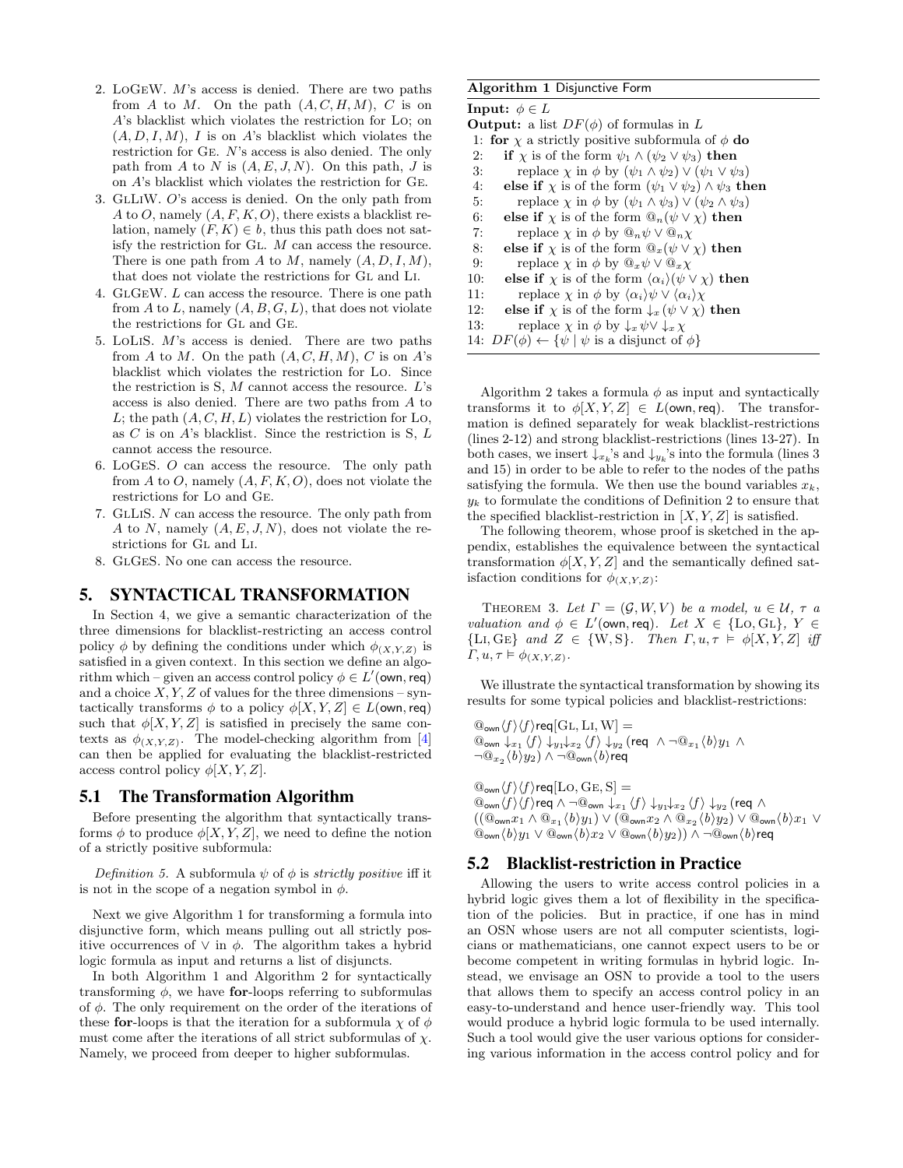- 2. LoGeW. M's access is denied. There are two paths from A to M. On the path  $(A, C, H, M)$ , C is on A's blacklist which violates the restriction for Lo; on  $(A, D, I, M)$ , I is on A's blacklist which violates the restriction for Ge. N's access is also denied. The only path from A to N is  $(A, E, J, N)$ . On this path, J is on A's blacklist which violates the restriction for Ge.
- 3. GlLiW. O's access is denied. On the only path from A to O, namely  $(A, F, K, O)$ , there exists a blacklist relation, namely  $(F, K) \in b$ , thus this path does not satisfy the restriction for Gl. M can access the resource. There is one path from A to M, namely  $(A, D, I, M)$ , that does not violate the restrictions for Gl and Li.
- 4. GlGeW. L can access the resource. There is one path from  $A$  to  $L$ , namely  $(A, B, G, L)$ , that does not violate the restrictions for Gl and Ge.
- 5. LoLiS. M's access is denied. There are two paths from A to M. On the path  $(A, C, H, M)$ , C is on A's blacklist which violates the restriction for Lo. Since the restriction is  $S, M$  cannot access the resource.  $L$ 's access is also denied. There are two paths from A to L; the path  $(A, C, H, L)$  violates the restriction for Lo, as  $C$  is on  $A$ 's blacklist. Since the restriction is  $S, L$ cannot access the resource.
- 6. LoGeS. O can access the resource. The only path from A to O, namely  $(A, F, K, O)$ , does not violate the restrictions for Lo and Ge.
- 7. GlLiS. N can access the resource. The only path from A to N, namely  $(A, E, J, N)$ , does not violate the restrictions for Gl and Li.
- 8. GlGeS. No one can access the resource.

## <span id="page-4-0"></span>5. SYNTACTICAL TRANSFORMATION

In Section [4,](#page-2-1) we give a semantic characterization of the three dimensions for blacklist-restricting an access control policy  $\phi$  by defining the conditions under which  $\phi_{(X,Y,Z)}$  is satisfied in a given context. In this section we define an algorithm which – given an access control policy  $\phi \in L'(\textsf{own}, \textsf{req})$ and a choice  $X, Y, Z$  of values for the three dimensions – syntactically transforms  $\phi$  to a policy  $\phi[X, Y, Z] \in L(\text{own}, \text{req})$ such that  $\phi[X, Y, Z]$  is satisfied in precisely the same contexts as  $\phi_{(X,Y,Z)}$ . The model-checking algorithm from [\[4\]](#page-9-0) can then be applied for evaluating the blacklist-restricted access control policy  $\phi[X, Y, Z]$ .

## 5.1 The Transformation Algorithm

Before presenting the algorithm that syntactically transforms  $\phi$  to produce  $\phi[X, Y, Z]$ , we need to define the notion of a strictly positive subformula:

Definition 5. A subformula  $\psi$  of  $\phi$  is strictly positive iff it is not in the scope of a negation symbol in  $\phi$ .

Next we give Algorithm [1](#page-4-1) for transforming a formula into disjunctive form, which means pulling out all strictly positive occurrences of  $\vee$  in  $\phi$ . The algorithm takes a hybrid logic formula as input and returns a list of disjuncts.

In both Algorithm [1](#page-4-1) and Algorithm [2](#page-5-1) for syntactically transforming  $\phi$ , we have for-loops referring to subformulas of  $\phi$ . The only requirement on the order of the iterations of these for-loops is that the iteration for a subformula  $\chi$  of  $\phi$ must come after the iterations of all strict subformulas of  $\chi$ . Namely, we proceed from deeper to higher subformulas.

#### <span id="page-4-1"></span>Algorithm 1 Disjunctive Form

| Input: $\phi \in L$                                                                                   |  |  |  |
|-------------------------------------------------------------------------------------------------------|--|--|--|
| <b>Output:</b> a list $DF(\phi)$ of formulas in L                                                     |  |  |  |
| 1: for $\chi$ a strictly positive subformula of $\phi$ do                                             |  |  |  |
| if $\chi$ is of the form $\psi_1 \wedge (\psi_2 \vee \psi_3)$ then<br>2:                              |  |  |  |
| replace $\chi$ in $\phi$ by $(\psi_1 \wedge \psi_2) \vee (\psi_1 \vee \psi_3)$<br>3:                  |  |  |  |
| else if $\chi$ is of the form $(\psi_1 \vee \psi_2) \wedge \psi_3$ then<br>4:                         |  |  |  |
| replace $\chi$ in $\phi$ by $(\psi_1 \wedge \psi_3) \vee (\psi_2 \wedge \psi_3)$<br>5:                |  |  |  |
| else if $\chi$ is of the form $\mathbb{Q}_n(\psi \vee \chi)$ then<br>6:                               |  |  |  |
| 7:<br>replace $\chi$ in $\phi$ by $\mathbb{Q}_n \psi \vee \mathbb{Q}_n \chi$                          |  |  |  |
| 8:<br>else if $\chi$ is of the form $\mathbb{Q}_x(\psi \vee \chi)$ then                               |  |  |  |
| 9:<br>replace $\chi$ in $\phi$ by $\mathbb{Q}_x \psi \vee \mathbb{Q}_x \chi$                          |  |  |  |
| else if $\chi$ is of the form $\langle \alpha_i \rangle (\psi \vee \chi)$ then<br>10:                 |  |  |  |
| replace $\chi$ in $\phi$ by $\langle \alpha_i \rangle \psi \vee \langle \alpha_i \rangle \chi$<br>11: |  |  |  |
| else if $\chi$ is of the form $\downarrow_x (\psi \vee \chi)$ then<br>12:                             |  |  |  |
| 13:<br>replace $\chi$ in $\phi$ by $\downarrow_x \psi \lor \downarrow_x \chi$                         |  |  |  |
| 14: $DF(\phi) \leftarrow {\psi   \psi \text{ is a disjunct of } \phi}$                                |  |  |  |
|                                                                                                       |  |  |  |

Algorithm [2](#page-5-1) takes a formula  $\phi$  as input and syntactically transforms it to  $\phi[X, Y, Z] \in L(\text{own}, \text{req})$ . The transformation is defined separately for weak blacklist-restrictions (lines 2-12) and strong blacklist-restrictions (lines 13-27). In both cases, we insert  $\downarrow_{x_k}$ 's and  $\downarrow_{y_k}$ 's into the formula (lines 3 and 15) in order to be able to refer to the nodes of the paths satisfying the formula. We then use the bound variables  $x_k$ ,  $y_k$  to formulate the conditions of Definition [2](#page-3-3) to ensure that the specified blacklist-restriction in  $[X, Y, Z]$  is satisfied.

The following theorem, whose proof is sketched in the appendix, establishes the equivalence between the syntactical transformation  $\phi[X, Y, Z]$  and the semantically defined satisfaction conditions for  $\phi_{(X,Y,Z)}$ :

THEOREM 3. Let  $\Gamma = (\mathcal{G}, W, V)$  be a model,  $u \in \mathcal{U}, \tau$  a valuation and  $\phi \in L'(\text{own}, \text{req})$ . Let  $X \in \{\text{Lo}, \text{GL}\}, Y \in$ {LI, GE} and  $Z \in \{W, S\}$ . Then  $\Gamma, u, \tau \models \phi[X, Y, Z]$  iff  $\Gamma, u, \tau \models \phi_{(X,Y,Z)}.$ 

We illustrate the syntactical transformation by showing its results for some typical policies and blacklist-restrictions:

 $\mathbb{Q}_{\text{own}}(f)\langle f\rangle$ req $[\text{GL}, \text{Li}, \text{W}] =$  $\mathbb{Q}_{\mathsf{own}}$   $\downarrow$   $_{x_1}\langle f \rangle$   $\downarrow$   $_{y_1}\downarrow$   $_{x_2}\langle f \rangle$   $\downarrow$   $_{y_2}$  (req  $\land \neg \mathbb{Q}_{x_1}\langle b \rangle$   $_{y_1}$   $\land$  $\neg @_{x_2}\langle b\rangle y_2)\wedge \neg @_{\mathsf{own}}\langle b\rangle$ req

 $\mathbb{Q}_{\text{own}}\langle f\rangle\langle f\rangle$ req $[\text{LO}, \text{GE}, \text{S}]=$  $\textcircled{1}$ <sub>own</sub>  $\langle f\rangle\langle f\rangle$ req  $\wedge \neg \textcircled{1}$ <sub>own</sub>  $\downarrow_{x_1}\langle f\rangle\downarrow_{y_1}\downarrow_{x_2}\langle f\rangle\downarrow_{y_2}$  (req  $\wedge$  $((@_{\mathsf{own}} x_1 \wedge @_{x_1} \langle b \rangle y_1) \vee @_{\mathsf{own}} x_2 \wedge @_{x_2} \langle b \rangle y_2) \vee @_{\mathsf{own}} \langle b \rangle x_1 \vee$  $\mathcal{L}_{\text{own}}(b)y_1 \vee \mathcal{L}_{\text{own}}(b)x_2 \vee \mathcal{L}_{\text{own}}(b)y_2)$ )  $\wedge \neg \mathcal{L}_{\text{own}}(b)$ req

## 5.2 Blacklist-restriction in Practice

Allowing the users to write access control policies in a hybrid logic gives them a lot of flexibility in the specification of the policies. But in practice, if one has in mind an OSN whose users are not all computer scientists, logicians or mathematicians, one cannot expect users to be or become competent in writing formulas in hybrid logic. Instead, we envisage an OSN to provide a tool to the users that allows them to specify an access control policy in an easy-to-understand and hence user-friendly way. This tool would produce a hybrid logic formula to be used internally. Such a tool would give the user various options for considering various information in the access control policy and for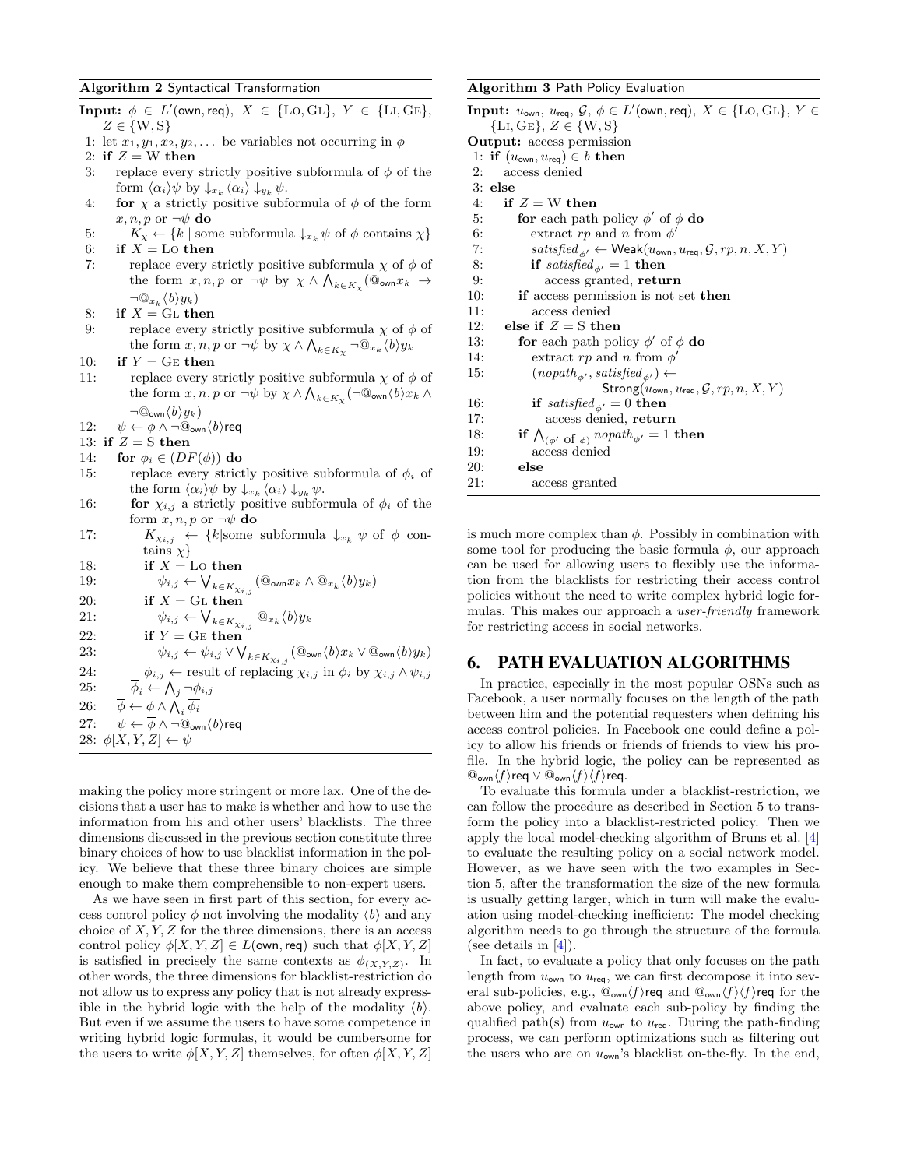#### <span id="page-5-1"></span>Algorithm 2 Syntactical Transformation

Input:  $\phi \in L'(\text{own}, \text{req}), X \in \{\text{LO}, \text{GL}\}, Y \in \{\text{LI}, \text{GE}\},$  $Z \in \{W, S\}$ 1: let  $x_1, y_1, x_2, y_2, \ldots$  be variables not occurring in  $\phi$ 2: if  $Z = W$  then 3: replace every strictly positive subformula of  $\phi$  of the form  $\langle \alpha_i \rangle \psi$  by  $\downarrow_{x_k} \langle \alpha_i \rangle \downarrow_{y_k} \psi$ . 4: **for**  $\chi$  a strictly positive subformula of  $\phi$  of the form  $x, n, p$  or  $\neg \psi$  do 5:  $K_{\chi} \leftarrow \{k \mid \text{some subformula } \downarrow_{x_k} \psi \text{ of } \phi \text{ contains } \chi\}$ <br>6: if  $X = \text{Lo}$  then if  $X =$  Lo then 7: replace every strictly positive subformula  $\chi$  of  $\phi$  of the form  $x, n, p$  or  $\neg \psi$  by  $\chi \wedge \bigwedge_{k \in K_{\chi}} (\mathbb{Q}_{\text{own}} x_k \rightarrow$  $\neg \mathbb{Q}_{x_k} \langle b \rangle y_k$ 8: if  $X = GL$  then 9: replace every strictly positive subformula  $\chi$  of  $\phi$  of the form  $x, n, p$  or  $\neg \psi$  by  $\chi \wedge \bigwedge_{k \in K_{\chi}} \neg \mathbb{Q}_{x_k} \langle b \rangle y_k$ 10: if  $Y = \text{GE}$  then 11: replace every strictly positive subformula  $\chi$  of  $\phi$  of the form  $x, n, p$  or  $\neg \psi$  by  $\chi \wedge \bigwedge_{k \in K_{\chi}} (\neg \mathbb{Q}_{\text{own}} \langle b \rangle x_k \wedge$  $\neg \mathbb{Q}_{\text{own}}\langle b \rangle y_k)$ 12:  $\psi \leftarrow \phi \land \neg \mathbb{Q}_{\text{own}}\langle b \rangle$ req 13: if  $Z = S$  then 14: for  $\phi_i \in (DF(\phi))$  do 15: replace every strictly positive subformula of  $\phi_i$  of the form  $\langle \alpha_i \rangle \psi$  by  $\downarrow_{x_k} \langle \alpha_i \rangle \downarrow_{y_k} \psi$ . 16: **for**  $\chi_{i,j}$  a strictly positive subformula of  $\phi_i$  of the form  $x, n, p$  or  $\neg \psi$  do 17:  $K_{\chi_{i,j}} \leftarrow \{k | \text{some subformula } \downarrow x_k \psi \text{ of } \phi \text{ con-} \}$ tains  $\chi$ } 18: if  $X =$  Lo then 19:  $\psi_{i,j} \leftarrow \bigvee_{k \in K_{\chi_{i,j}}} (\mathbb{Q}_{\text{own}} x_k \wedge \mathbb{Q}_{x_k} \langle b \rangle y_k)$ 20: if  $X = GL$  then 21:  $\psi_{i,j} \leftarrow \bigvee_{k \in K_{\chi_{i,j}}} \mathbb{Q}_{x_k} \langle b \rangle y_k$ 22: if  $Y = \text{GE} \text{ then}$ 23:  $\psi_{i,j} \leftarrow \psi_{i,j} \vee \bigvee_{k \in K_{\chi_{i,j}}} (\mathbb{Q}_{\text{own}}\langle b \rangle x_k \vee \mathbb{Q}_{\text{own}}\langle b \rangle y_k)$ 24:  $\phi_{i,j} \leftarrow \text{result of replacing } \chi_{i,j} \text{ in } \phi_i \text{ by } \chi_{i,j} \wedge \psi_{i,j}$ 25:  $\phi_i \leftarrow \bigwedge_j \neg \phi_{i,j}$ 26:  $\overline{\phi} \leftarrow \phi \wedge \bigwedge_i \overline{\phi_i}$ 27:  $\psi \leftarrow \overline{\phi} \wedge \neg \mathbb{Q}_{\text{own}} \langle b \rangle$ req 28:  $\phi[X, Y, Z] \leftarrow \psi$ 

making the policy more stringent or more lax. One of the decisions that a user has to make is whether and how to use the information from his and other users' blacklists. The three dimensions discussed in the previous section constitute three binary choices of how to use blacklist information in the policy. We believe that these three binary choices are simple enough to make them comprehensible to non-expert users.

As we have seen in first part of this section, for every access control policy  $\phi$  not involving the modality  $\langle b \rangle$  and any choice of  $X, Y, Z$  for the three dimensions, there is an access control policy  $\phi[X, Y, Z] \in L(\text{own}, \text{req})$  such that  $\phi[X, Y, Z]$ is satisfied in precisely the same contexts as  $\phi_{(X,Y,Z)}$ . In other words, the three dimensions for blacklist-restriction do not allow us to express any policy that is not already expressible in the hybrid logic with the help of the modality  $\langle b \rangle$ . But even if we assume the users to have some competence in writing hybrid logic formulas, it would be cumbersome for the users to write  $\phi[X, Y, Z]$  themselves, for often  $\phi[X, Y, Z]$ 

#### <span id="page-5-2"></span>Algorithm 3 Path Policy Evaluation

| <b>Input:</b> $u_{\text{own}}$ , $u_{\text{req}}$ , $\mathcal{G}$ , $\phi \in L'(\text{own}, \text{req})$ , $X \in \{\text{Lo}, \text{GL}\}, Y \in$ |
|-----------------------------------------------------------------------------------------------------------------------------------------------------|
| ${LI, GE}, Z \in {W, S}$                                                                                                                            |
| <b>Output:</b> access permission                                                                                                                    |
| 1: if $(u_{\text{own}}, u_{\text{req}}) \in b$ then                                                                                                 |
| access denied<br>2:                                                                                                                                 |
| $3:$ else                                                                                                                                           |
| if $Z = W$ then<br>4:                                                                                                                               |
| 5:<br>for each path policy $\phi'$ of $\phi$ do                                                                                                     |
| 6:<br>extract rp and n from $\phi'$                                                                                                                 |
| 7:<br>$satisfied_{\phi'} \leftarrow \mathsf{Weak}(u_{\mathsf{own}}, u_{\mathsf{req}}, \mathcal{G}, rp, n, X, Y)$                                    |
| if satisfied <sub><math>\phi'</math></sub> = 1 then<br>8:                                                                                           |
| 9:<br>access granted, return                                                                                                                        |
| if access permission is not set then<br>10:                                                                                                         |
| access denied<br>11:                                                                                                                                |
| 12:<br>else if $Z = S$ then                                                                                                                         |
| 13:<br>for each path policy $\phi'$ of $\phi$ do                                                                                                    |
| 14:<br>extract rp and n from $\phi'$                                                                                                                |
| $(nopath_{\phi'}, satisfied_{\phi'}) \leftarrow$<br>15:                                                                                             |
| Strong( $u_{\text{own}}, u_{\text{req}}, \mathcal{G}, rp, n, X, Y$ )                                                                                |
| if satisfied <sub><math>\phi'</math></sub> = 0 then<br>16:                                                                                          |
| access denied, return<br>17:                                                                                                                        |
| if $\bigwedge_{(\phi' \text{ of } \phi)} n \text{ (} \text{ (} \phi \text{)}$<br>18:                                                                |
| 19:<br>access denied                                                                                                                                |
| 20:<br>else                                                                                                                                         |
| 21:<br>access granted                                                                                                                               |

is much more complex than  $\phi$ . Possibly in combination with some tool for producing the basic formula  $\phi$ , our approach can be used for allowing users to flexibly use the information from the blacklists for restricting their access control policies without the need to write complex hybrid logic formulas. This makes our approach a user-friendly framework for restricting access in social networks.

#### <span id="page-5-0"></span>6. PATH EVALUATION ALGORITHMS

In practice, especially in the most popular OSNs such as Facebook, a user normally focuses on the length of the path between him and the potential requesters when defining his access control policies. In Facebook one could define a policy to allow his friends or friends of friends to view his profile. In the hybrid logic, the policy can be represented as  $\mathbb{Q}_{\text{own}}\langle f\rangle$ req ∨  $\mathbb{Q}_{\text{own}}\langle f\rangle\langle f\rangle$ req.

To evaluate this formula under a blacklist-restriction, we can follow the procedure as described in Section [5](#page-4-0) to transform the policy into a blacklist-restricted policy. Then we apply the local model-checking algorithm of Bruns et al. [\[4\]](#page-9-0) to evaluate the resulting policy on a social network model. However, as we have seen with the two examples in Section [5,](#page-4-0) after the transformation the size of the new formula is usually getting larger, which in turn will make the evaluation using model-checking inefficient: The model checking algorithm needs to go through the structure of the formula (see details in [\[4\]](#page-9-0)).

In fact, to evaluate a policy that only focuses on the path length from  $u_{\text{own}}$  to  $u_{\text{req}}$ , we can first decompose it into several sub-policies, e.g.,  $\mathbb{Q}_{\text{own}}(f)$  req and  $\mathbb{Q}_{\text{own}}(f)\langle f \rangle$  req for the above policy, and evaluate each sub-policy by finding the qualified path(s) from  $u_{\text{own}}$  to  $u_{\text{req}}$ . During the path-finding process, we can perform optimizations such as filtering out the users who are on  $u_{\text{own}}$ 's blacklist on-the-fly. In the end,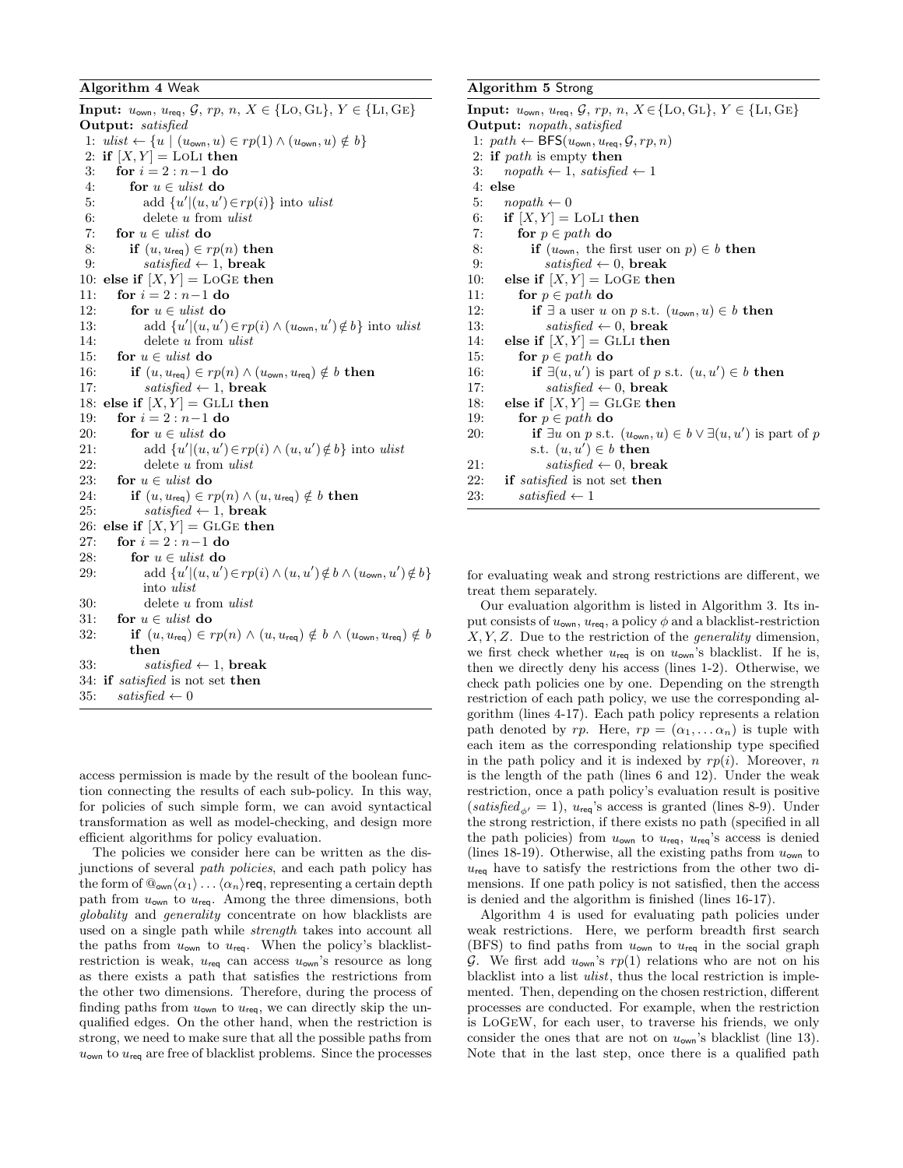#### <span id="page-6-0"></span>Algorithm 4 Weak

Input:  $u_{own, u_{req}, \mathcal{G}, rp, n, X \in \{\text{LO}, \text{GL}\}, Y \in \{\text{LI}, \text{GE}\}\$ Output: satisfied  $1{: } \ \textit{ulist} \gets \{u \mid (u_{\mathsf{own}}, u) \in rp(1) \land (u_{\mathsf{own}}, u) \notin b\}$ 2: if  $[X, Y] =$  LOLI then 3: for  $i = 2 : n-1$  do 4: for  $u \in ulist$  do 5: add  $\{u'|(u, u') \in rp(i)\}$  into ulist 6: delete u from ulist 7: for  $u \in ulist$  do 8: if  $(u, u_{\text{req}}) \in rp(n)$  then 9:  $satisfied \leftarrow 1$ , break 10: else if  $[X, Y] =$  LoGE then 11: for  $i = 2 : n-1$  do 12: for  $u \in$  ulist do 13: add  $\{u'|(u, u') \in rp(i) \wedge (u_{\text{own}}, u') \notin b\}$  into ulist 14: delete u from ulist 15: for  $u \in$  ulist do 16: **if**  $(u, u_{\text{req}}) \in rp(n) \wedge (u_{\text{own}}, u_{\text{req}}) \notin b$  then 17:  $satisfied \leftarrow 1$ , break 18: else if  $[X, Y] = \text{GLL}$  then 19: **for**  $i = 2 : n-1$  **do** 20: for  $u \in$  ulist do 21: add  $\{u'|(u, u') \in rp(i) \wedge (u, u') \notin b\}$  into ulist 22: delete u from ulist 23: for  $u \in$  ulist do 24: if  $(u, u_{\text{req}}) \in rp(n) \wedge (u, u_{\text{req}}) \notin b$  then 25:  $satisfied \leftarrow 1$ , break 26: else if  $[X, Y] =$  GLGE then 27: for  $i = 2 : n - 1$  do 28: for  $u \in$  ulist do 29: add  $\{u'|(u,u')\in rp(i)\wedge(u,u')\notin b\wedge(u_{\text{own}},u')\notin b\}$ into ulist 30: delete u from ulist 31: for  $u \in$  ulist do 32: if  $(u, u_{\text{req}}) \in rp(n) \wedge (u, u_{\text{req}}) \notin b \wedge (u_{\text{own}}, u_{\text{req}}) \notin b$ then 33:  $satisfied \leftarrow 1$ , break 34: if satisfied is not set then 35:  $satisfied \leftarrow 0$ 

access permission is made by the result of the boolean function connecting the results of each sub-policy. In this way, for policies of such simple form, we can avoid syntactical transformation as well as model-checking, and design more efficient algorithms for policy evaluation.

The policies we consider here can be written as the disjunctions of several path policies, and each path policy has the form of  $\mathbb{Q}_{\text{own}}\langle\alpha_1\rangle\ldots\langle\alpha_n\rangle$ req, representing a certain depth path from  $u_{\text{own}}$  to  $u_{\text{req}}$ . Among the three dimensions, both globality and generality concentrate on how blacklists are used on a single path while strength takes into account all the paths from  $u_{\text{own}}$  to  $u_{\text{req}}$ . When the policy's blacklistrestriction is weak,  $u_{\text{req}}$  can access  $u_{\text{own}}$ 's resource as long as there exists a path that satisfies the restrictions from the other two dimensions. Therefore, during the process of finding paths from  $u_{\text{own}}$  to  $u_{\text{rea}}$ , we can directly skip the unqualified edges. On the other hand, when the restriction is strong, we need to make sure that all the possible paths from  $u_{\text{own}}$  to  $u_{\text{req}}$  are free of blacklist problems. Since the processes

#### <span id="page-6-1"></span>Algorithm 5 Strong

Input:  $u_{own, u_{req}, \mathcal{G}, rp, n, X \in \{\text{LO}, \text{GL}\}, Y \in \{\text{LI}, \text{GE}\}\$ Output: nopath, satisfied 1:  $path \leftarrow \mathsf{BFS}(u_{\mathsf{own}}, u_{\mathsf{req}}, \mathcal{G}, rp, n)$ 2: if  $path$  is empty then 3:  $n\text{ (} \leftarrow 1, \text{ satisfied } \leftarrow 1$ 4: else 5:  $n\text{ (}h \leftarrow 0$ 6: if  $[X, Y] =$  LOLI then 7: for  $p \in path$  do 8: **if**  $(u_{\text{own}},$  the first user on  $p \in b$  then 9:  $satisfied \leftarrow 0$ , break 10: else if  $[X, Y] = \text{LOGE}$  then 11: for  $p \in path$  do 12: if  $\exists$  a user u on p s.t.  $(u_{\text{own}}, u) \in b$  then 13:  $satisfied \leftarrow 0$ , break 14: else if  $[X, Y] = \text{GLL}$  then 15: for  $p \in path$  do 16: if  $\exists (u, u')$  is part of p s.t.  $(u, u') \in b$  then 17:  $satisfied \leftarrow 0$ , break 18: else if  $[X, Y] =$  GLGE then 19: for  $p \in path$  do 20: **if**  $\exists u$  on p s.t.  $(u_{\text{own}}, u) \in b \vee \exists (u, u')$  is part of p s.t.  $(u, u') \in b$  then 21:  $satisfied \leftarrow 0$ , break 22: if satisfied is not set then 23:  $satisfied \leftarrow 1$ 

for evaluating weak and strong restrictions are different, we treat them separately.

Our evaluation algorithm is listed in Algorithm [3.](#page-5-2) Its input consists of  $u_{\text{own}}$ ,  $u_{\text{req}}$ , a policy  $\phi$  and a blacklist-restriction  $X, Y, Z$ . Due to the restriction of the *generality* dimension, we first check whether  $u_{\text{req}}$  is on  $u_{\text{own}}$ 's blacklist. If he is, then we directly deny his access (lines 1-2). Otherwise, we check path policies one by one. Depending on the strength restriction of each path policy, we use the corresponding algorithm (lines 4-17). Each path policy represents a relation path denoted by rp. Here,  $rp = (\alpha_1, \dots \alpha_n)$  is tuple with each item as the corresponding relationship type specified in the path policy and it is indexed by  $rp(i)$ . Moreover, n is the length of the path (lines 6 and 12). Under the weak restriction, once a path policy's evaluation result is positive (satisfied<sub> $\phi$ </sub> = 1), u<sub>req</sub>'s access is granted (lines 8-9). Under the strong restriction, if there exists no path (specified in all the path policies) from  $u_{\text{own}}$  to  $u_{\text{req}}$ ,  $u_{\text{req}}$ 's access is denied (lines 18-19). Otherwise, all the existing paths from  $u_{\text{own}}$  to  $u_{\text{rea}}$  have to satisfy the restrictions from the other two dimensions. If one path policy is not satisfied, then the access is denied and the algorithm is finished (lines 16-17).

Algorithm [4](#page-6-0) is used for evaluating path policies under weak restrictions. Here, we perform breadth first search (BFS) to find paths from  $u_{\text{own}}$  to  $u_{\text{req}}$  in the social graph G. We first add  $u_{\text{own}}$ 's  $rp(1)$  relations who are not on his blacklist into a list ulist, thus the local restriction is implemented. Then, depending on the chosen restriction, different processes are conducted. For example, when the restriction is LoGeW, for each user, to traverse his friends, we only consider the ones that are not on  $u_{\text{own}}$ 's blacklist (line 13). Note that in the last step, once there is a qualified path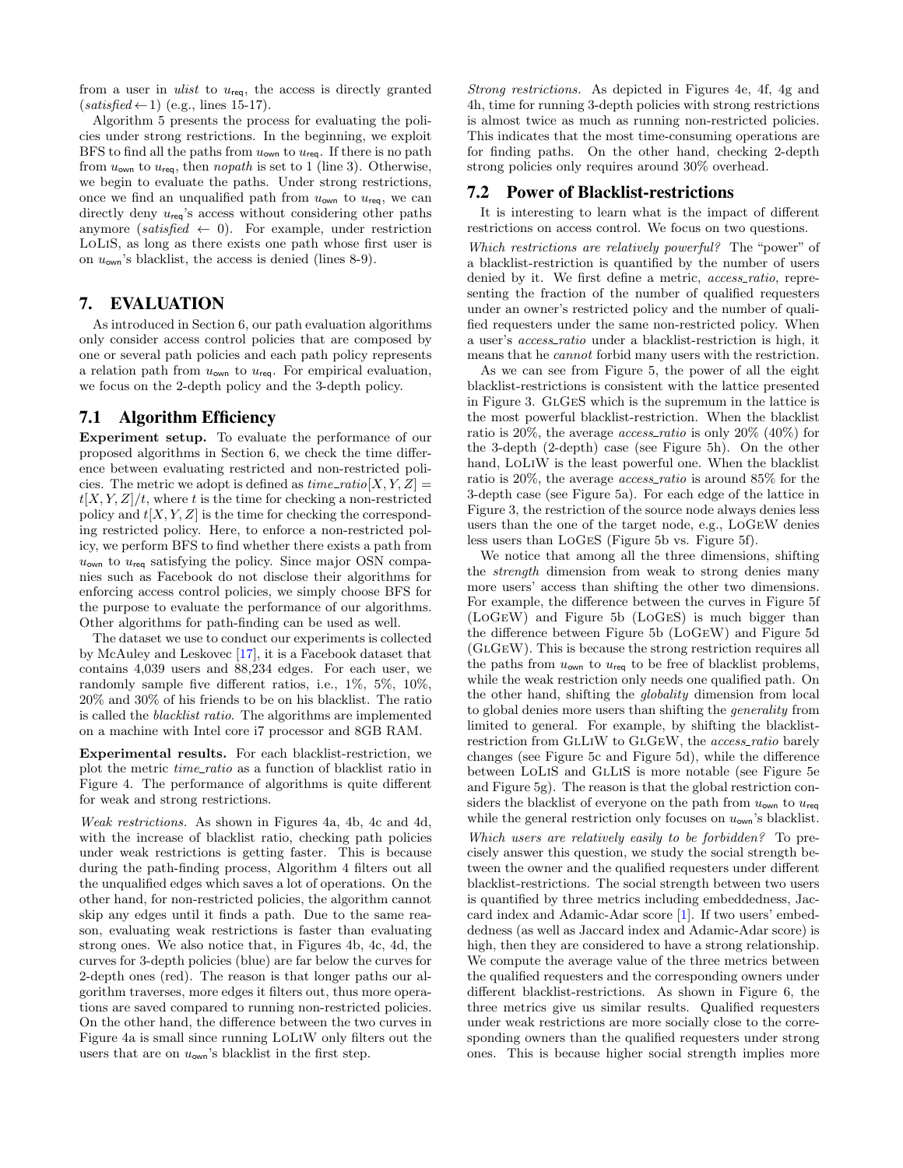from a user in ulist to  $u_{\text{req}}$ , the access is directly granted  $(satisfied \leftarrow 1)$  (e.g., lines 15-17).

Algorithm [5](#page-6-1) presents the process for evaluating the policies under strong restrictions. In the beginning, we exploit BFS to find all the paths from  $u_{\text{own}}$  to  $u_{\text{req}}$ . If there is no path from  $u_{\text{own}}$  to  $u_{\text{req}}$ , then nopath is set to 1 (line 3). Otherwise, we begin to evaluate the paths. Under strong restrictions, once we find an unqualified path from  $u_{\text{own}}$  to  $u_{\text{req}}$ , we can directly deny  $u_{\text{req}}$ 's access without considering other paths anymore (satisfied  $\leftarrow$  0). For example, under restriction LoLiS, as long as there exists one path whose first user is on  $u_{\text{own}}$ 's blacklist, the access is denied (lines 8-9).

## <span id="page-7-0"></span>7. EVALUATION

As introduced in Section [6,](#page-5-0) our path evaluation algorithms only consider access control policies that are composed by one or several path policies and each path policy represents a relation path from  $u_{\text{own}}$  to  $u_{\text{req}}$ . For empirical evaluation, we focus on the 2-depth policy and the 3-depth policy.

## 7.1 Algorithm Efficiency

Experiment setup. To evaluate the performance of our proposed algorithms in Section [6,](#page-5-0) we check the time difference between evaluating restricted and non-restricted policies. The metric we adopt is defined as  $time\_ratio[X, Y, Z] =$  $t[X, Y, Z]/t$ , where t is the time for checking a non-restricted policy and  $t[X, Y, Z]$  is the time for checking the corresponding restricted policy. Here, to enforce a non-restricted policy, we perform BFS to find whether there exists a path from  $u_{\text{own}}$  to  $u_{\text{req}}$  satisfying the policy. Since major OSN companies such as Facebook do not disclose their algorithms for enforcing access control policies, we simply choose BFS for the purpose to evaluate the performance of our algorithms. Other algorithms for path-finding can be used as well.

The dataset we use to conduct our experiments is collected by McAuley and Leskovec [\[17\]](#page-10-1), it is a Facebook dataset that contains 4,039 users and 88,234 edges. For each user, we randomly sample five different ratios, i.e., 1%, 5%, 10%, 20% and 30% of his friends to be on his blacklist. The ratio is called the blacklist ratio. The algorithms are implemented on a machine with Intel core i7 processor and 8GB RAM.

Experimental results. For each blacklist-restriction, we plot the metric time ratio as a function of blacklist ratio in Figure [4.](#page-8-0) The performance of algorithms is quite different for weak and strong restrictions.

Weak restrictions. As shown in Figures [4a,](#page-8-0) [4b,](#page-8-0) [4c](#page-8-0) and [4d,](#page-8-0) with the increase of blacklist ratio, checking path policies under weak restrictions is getting faster. This is because during the path-finding process, Algorithm [4](#page-6-0) filters out all the unqualified edges which saves a lot of operations. On the other hand, for non-restricted policies, the algorithm cannot skip any edges until it finds a path. Due to the same reason, evaluating weak restrictions is faster than evaluating strong ones. We also notice that, in Figures [4b,](#page-8-0) [4c,](#page-8-0) [4d,](#page-8-0) the curves for 3-depth policies (blue) are far below the curves for 2-depth ones (red). The reason is that longer paths our algorithm traverses, more edges it filters out, thus more operations are saved compared to running non-restricted policies. On the other hand, the difference between the two curves in Figure [4a](#page-8-0) is small since running LoLiW only filters out the users that are on  $u_{\text{own}}$ 's blacklist in the first step.

Strong restrictions. As depicted in Figures [4e,](#page-8-0) [4f,](#page-8-0) [4g](#page-8-0) and [4h,](#page-8-0) time for running 3-depth policies with strong restrictions is almost twice as much as running non-restricted policies. This indicates that the most time-consuming operations are for finding paths. On the other hand, checking 2-depth strong policies only requires around 30% overhead.

#### 7.2 Power of Blacklist-restrictions

It is interesting to learn what is the impact of different restrictions on access control. We focus on two questions.

Which restrictions are relatively powerful? The "power" of a blacklist-restriction is quantified by the number of users denied by it. We first define a metric, *access\_ratio*, representing the fraction of the number of qualified requesters under an owner's restricted policy and the number of qualified requesters under the same non-restricted policy. When a user's *access\_ratio* under a blacklist-restriction is high, it means that he cannot forbid many users with the restriction.

As we can see from Figure [5,](#page-8-1) the power of all the eight blacklist-restrictions is consistent with the lattice presented in Figure [3.](#page-3-0) GlGeS which is the supremum in the lattice is the most powerful blacklist-restriction. When the blacklist ratio is  $20\%$ , the average *access\_ratio* is only  $20\%$  (40%) for the 3-depth (2-depth) case (see Figure [5h\)](#page-8-1). On the other hand, LoLiW is the least powerful one. When the blacklist ratio is 20%, the average access ratio is around 85% for the 3-depth case (see Figure [5a\)](#page-8-1). For each edge of the lattice in Figure [3,](#page-3-0) the restriction of the source node always denies less users than the one of the target node, e.g., LoGeW denies less users than LoGeS (Figure [5b](#page-8-1) vs. Figure [5f\)](#page-8-1).

We notice that among all the three dimensions, shifting the strength dimension from weak to strong denies many more users' access than shifting the other two dimensions. For example, the difference between the curves in Figure [5f](#page-8-1) (LoGeW) and Figure [5b](#page-8-1) (LoGeS) is much bigger than the difference between Figure [5b](#page-8-1) (LoGeW) and Figure [5d](#page-8-1) (GlGeW). This is because the strong restriction requires all the paths from  $u_{\text{own}}$  to  $u_{\text{req}}$  to be free of blacklist problems, while the weak restriction only needs one qualified path. On the other hand, shifting the globality dimension from local to global denies more users than shifting the generality from limited to general. For example, by shifting the blacklistrestriction from GLLIW to GLGEW, the access\_ratio barely changes (see Figure [5c](#page-8-1) and Figure [5d\)](#page-8-1), while the difference between LoLiS and GlLiS is more notable (see Figure [5e](#page-8-1) and Figure [5g\)](#page-8-1). The reason is that the global restriction considers the blacklist of everyone on the path from  $u_{\text{own}}$  to  $u_{\text{req}}$ while the general restriction only focuses on  $u_{\text{own}}$ 's blacklist.

Which users are relatively easily to be forbidden? To precisely answer this question, we study the social strength between the owner and the qualified requesters under different blacklist-restrictions. The social strength between two users is quantified by three metrics including embeddedness, Jaccard index and Adamic-Adar score [\[1\]](#page-9-1). If two users' embeddedness (as well as Jaccard index and Adamic-Adar score) is high, then they are considered to have a strong relationship. We compute the average value of the three metrics between the qualified requesters and the corresponding owners under different blacklist-restrictions. As shown in Figure [6,](#page-9-2) the three metrics give us similar results. Qualified requesters under weak restrictions are more socially close to the corresponding owners than the qualified requesters under strong ones. This is because higher social strength implies more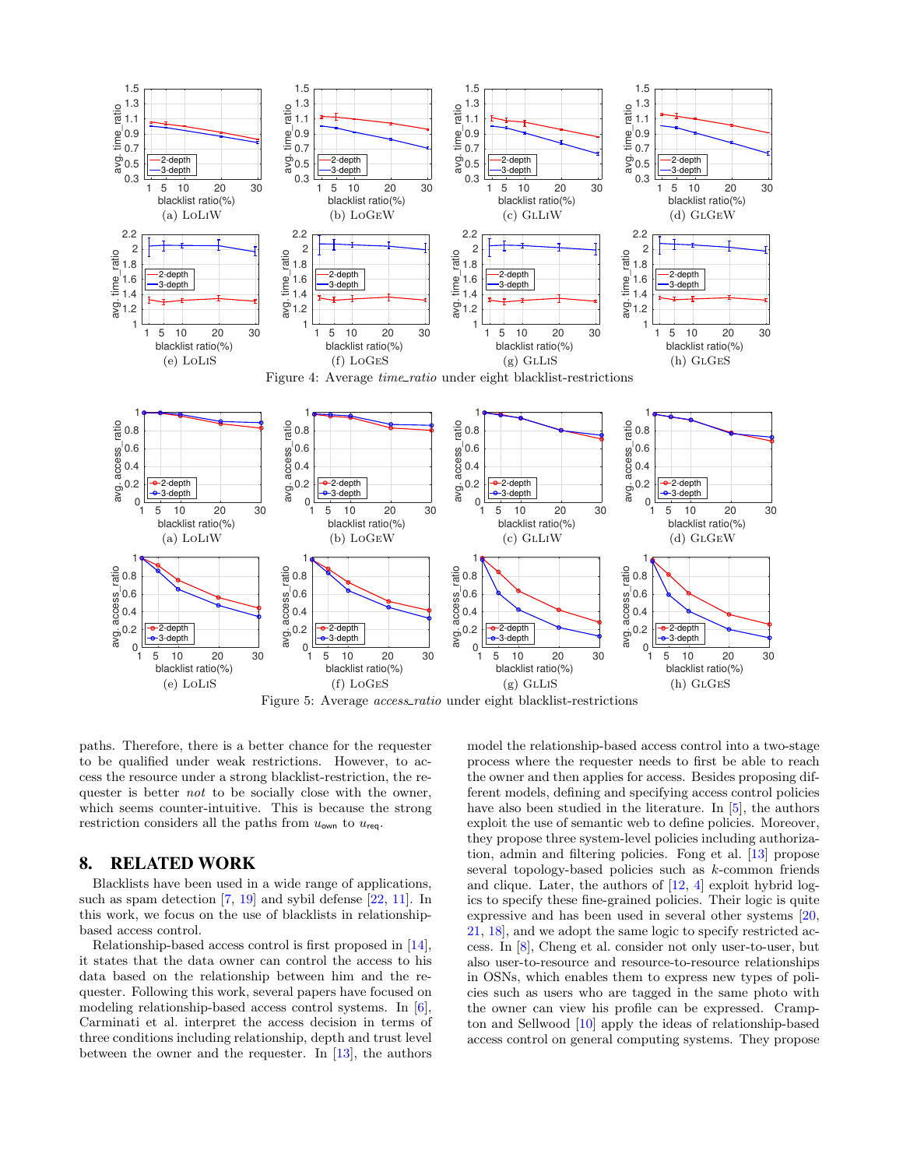<span id="page-8-1"></span><span id="page-8-0"></span>

paths. Therefore, there is a better chance for the requester to be qualified under weak restrictions. However, to access the resource under a strong blacklist-restriction, the requester is better not to be socially close with the owner, which seems counter-intuitive. This is because the strong restriction considers all the paths from  $u_{\text{own}}$  to  $u_{\text{req}}$ .

## 8. RELATED WORK

Blacklists have been used in a wide range of applications, such as spam detection [\[7,](#page-9-3) [19\]](#page-10-2) and sybil defense [\[22,](#page-10-3) [11\]](#page-10-4). In this work, we focus on the use of blacklists in relationshipbased access control.

Relationship-based access control is first proposed in [\[14\]](#page-10-5), it states that the data owner can control the access to his data based on the relationship between him and the requester. Following this work, several papers have focused on modeling relationship-based access control systems. In [\[6\]](#page-9-4), Carminati et al. interpret the access decision in terms of three conditions including relationship, depth and trust level between the owner and the requester. In [\[13\]](#page-10-6), the authors model the relationship-based access control into a two-stage process where the requester needs to first be able to reach the owner and then applies for access. Besides proposing different models, defining and specifying access control policies have also been studied in the literature. In [\[5\]](#page-9-5), the authors exploit the use of semantic web to define policies. Moreover, they propose three system-level policies including authorization, admin and filtering policies. Fong et al. [\[13\]](#page-10-6) propose several topology-based policies such as k-common friends and clique. Later, the authors of [\[12,](#page-10-0) [4\]](#page-9-0) exploit hybrid logics to specify these fine-grained policies. Their logic is quite expressive and has been used in several other systems [\[20,](#page-10-7) [21,](#page-10-8) [18\]](#page-10-9), and we adopt the same logic to specify restricted access. In [\[8\]](#page-9-6), Cheng et al. consider not only user-to-user, but also user-to-resource and resource-to-resource relationships in OSNs, which enables them to express new types of policies such as users who are tagged in the same photo with the owner can view his profile can be expressed. Crampton and Sellwood [\[10\]](#page-9-7) apply the ideas of relationship-based access control on general computing systems. They propose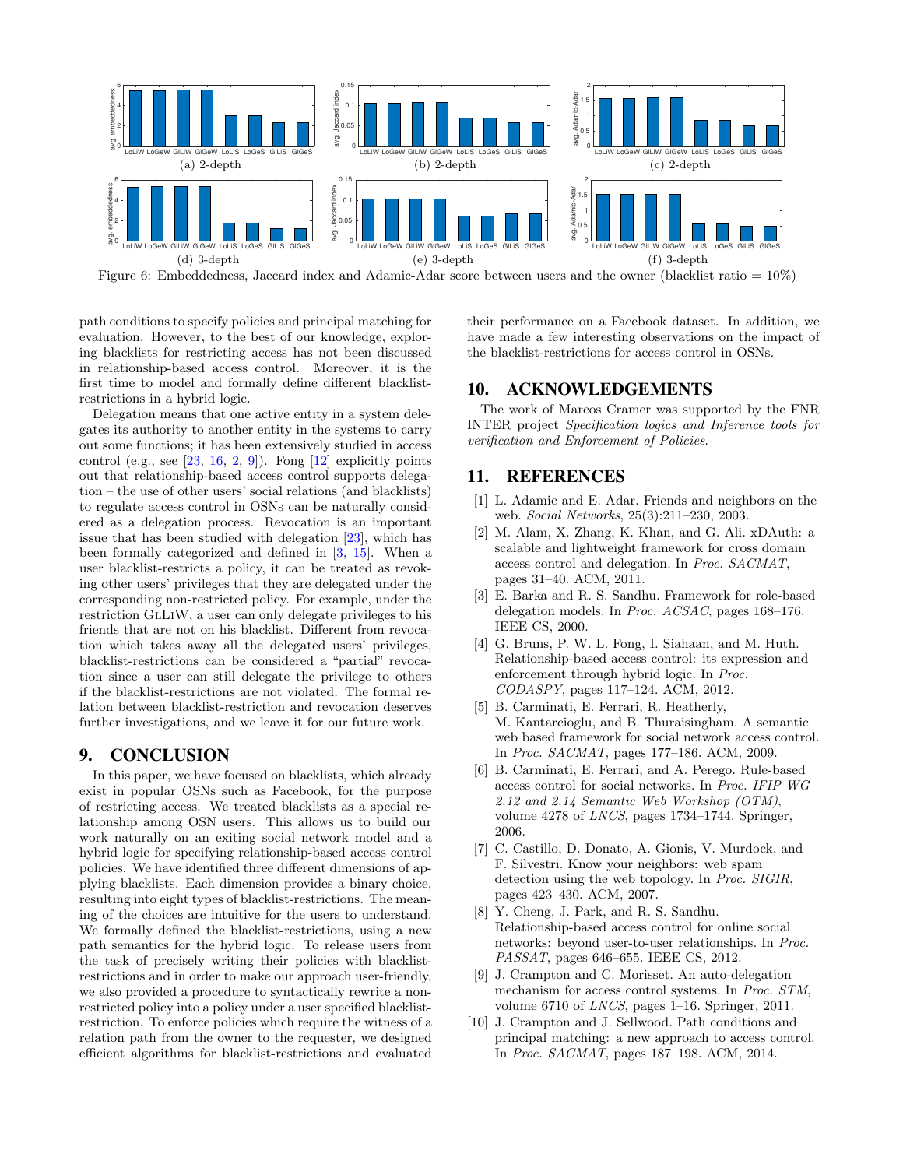<span id="page-9-2"></span>

Figure 6: Embeddedness, Jaccard index and Adamic-Adar score between users and the owner (blacklist ratio =  $10\%$ )

path conditions to specify policies and principal matching for evaluation. However, to the best of our knowledge, exploring blacklists for restricting access has not been discussed in relationship-based access control. Moreover, it is the first time to model and formally define different blacklistrestrictions in a hybrid logic.

Delegation means that one active entity in a system delegates its authority to another entity in the systems to carry out some functions; it has been extensively studied in access control (e.g., see  $[23, 16, 2, 9]$  $[23, 16, 2, 9]$  $[23, 16, 2, 9]$  $[23, 16, 2, 9]$  $[23, 16, 2, 9]$  $[23, 16, 2, 9]$ ). Fong  $[12]$  explicitly points out that relationship-based access control supports delegation – the use of other users' social relations (and blacklists) to regulate access control in OSNs can be naturally considered as a delegation process. Revocation is an important issue that has been studied with delegation [\[23\]](#page-10-10), which has been formally categorized and defined in [\[3,](#page-9-10) [15\]](#page-10-12). When a user blacklist-restricts a policy, it can be treated as revoking other users' privileges that they are delegated under the corresponding non-restricted policy. For example, under the restriction GlLiW, a user can only delegate privileges to his friends that are not on his blacklist. Different from revocation which takes away all the delegated users' privileges, blacklist-restrictions can be considered a "partial" revocation since a user can still delegate the privilege to others if the blacklist-restrictions are not violated. The formal relation between blacklist-restriction and revocation deserves further investigations, and we leave it for our future work.

## 9. CONCLUSION

In this paper, we have focused on blacklists, which already exist in popular OSNs such as Facebook, for the purpose of restricting access. We treated blacklists as a special relationship among OSN users. This allows us to build our work naturally on an exiting social network model and a hybrid logic for specifying relationship-based access control policies. We have identified three different dimensions of applying blacklists. Each dimension provides a binary choice, resulting into eight types of blacklist-restrictions. The meaning of the choices are intuitive for the users to understand. We formally defined the blacklist-restrictions, using a new path semantics for the hybrid logic. To release users from the task of precisely writing their policies with blacklistrestrictions and in order to make our approach user-friendly, we also provided a procedure to syntactically rewrite a nonrestricted policy into a policy under a user specified blacklistrestriction. To enforce policies which require the witness of a relation path from the owner to the requester, we designed efficient algorithms for blacklist-restrictions and evaluated

their performance on a Facebook dataset. In addition, we have made a few interesting observations on the impact of the blacklist-restrictions for access control in OSNs.

## 10. ACKNOWLEDGEMENTS

The work of Marcos Cramer was supported by the FNR INTER project Specification logics and Inference tools for verification and Enforcement of Policies.

## 11. REFERENCES

- <span id="page-9-1"></span>[1] L. Adamic and E. Adar. Friends and neighbors on the web. Social Networks, 25(3):211–230, 2003.
- <span id="page-9-8"></span>[2] M. Alam, X. Zhang, K. Khan, and G. Ali. xDAuth: a scalable and lightweight framework for cross domain access control and delegation. In Proc. SACMAT, pages 31–40. ACM, 2011.
- <span id="page-9-10"></span>[3] E. Barka and R. S. Sandhu. Framework for role-based delegation models. In Proc. ACSAC, pages 168–176. IEEE CS, 2000.
- <span id="page-9-0"></span>[4] G. Bruns, P. W. L. Fong, I. Siahaan, and M. Huth. Relationship-based access control: its expression and enforcement through hybrid logic. In Proc. CODASPY, pages 117–124. ACM, 2012.
- <span id="page-9-5"></span>[5] B. Carminati, E. Ferrari, R. Heatherly, M. Kantarcioglu, and B. Thuraisingham. A semantic web based framework for social network access control. In Proc. SACMAT, pages 177–186. ACM, 2009.
- <span id="page-9-4"></span>[6] B. Carminati, E. Ferrari, and A. Perego. Rule-based access control for social networks. In Proc. IFIP WG 2.12 and 2.14 Semantic Web Workshop (OTM), volume 4278 of LNCS, pages 1734–1744. Springer, 2006.
- <span id="page-9-3"></span>[7] C. Castillo, D. Donato, A. Gionis, V. Murdock, and F. Silvestri. Know your neighbors: web spam detection using the web topology. In Proc. SIGIR, pages 423–430. ACM, 2007.
- <span id="page-9-6"></span>[8] Y. Cheng, J. Park, and R. S. Sandhu. Relationship-based access control for online social networks: beyond user-to-user relationships. In Proc. PASSAT, pages 646–655. IEEE CS, 2012.
- <span id="page-9-9"></span>[9] J. Crampton and C. Morisset. An auto-delegation mechanism for access control systems. In Proc. STM, volume 6710 of LNCS, pages 1–16. Springer, 2011.
- <span id="page-9-7"></span>[10] J. Crampton and J. Sellwood. Path conditions and principal matching: a new approach to access control. In Proc. SACMAT, pages 187–198. ACM, 2014.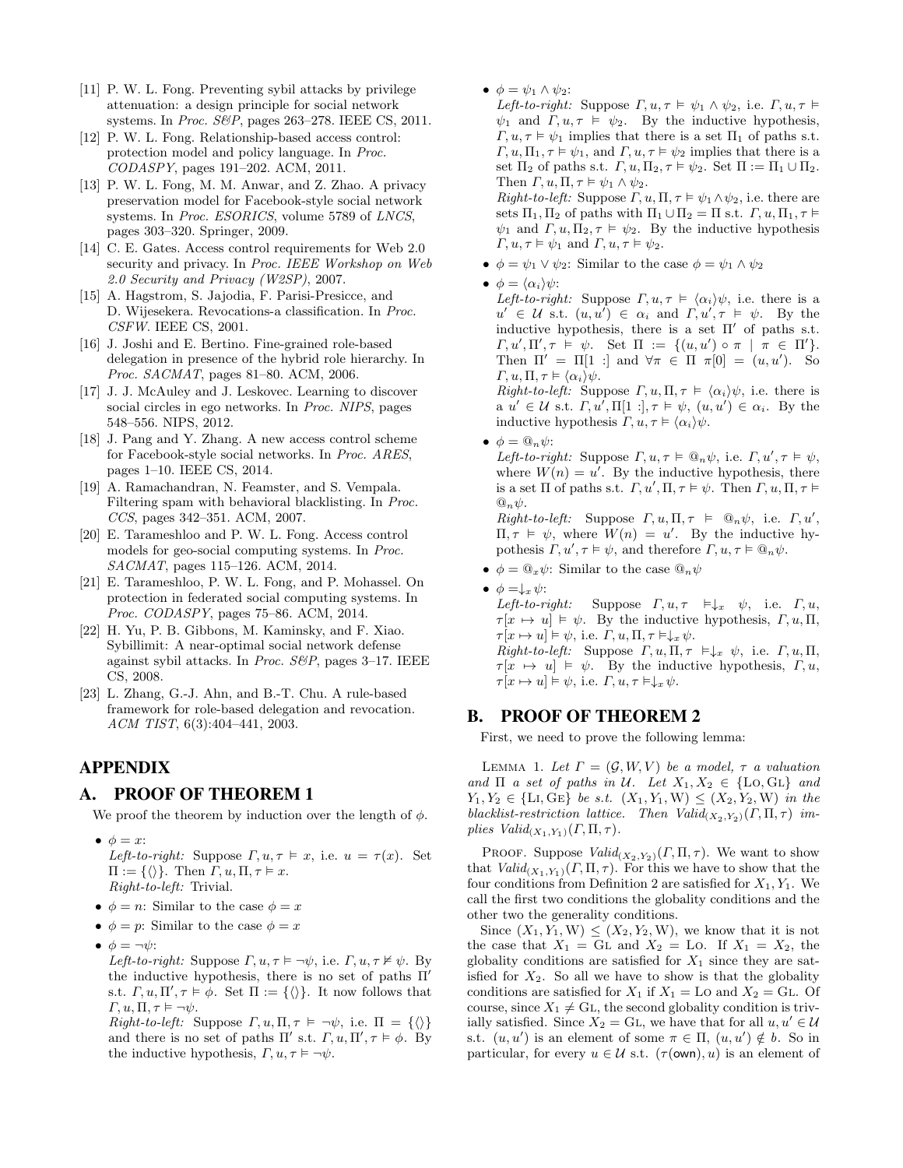- <span id="page-10-4"></span>[11] P. W. L. Fong. Preventing sybil attacks by privilege attenuation: a design principle for social network systems. In *Proc. S&P*, pages 263-278. IEEE CS, 2011.
- <span id="page-10-0"></span>[12] P. W. L. Fong. Relationship-based access control: protection model and policy language. In Proc. CODASPY, pages 191–202. ACM, 2011.
- <span id="page-10-6"></span>[13] P. W. L. Fong, M. M. Anwar, and Z. Zhao. A privacy preservation model for Facebook-style social network systems. In Proc. ESORICS, volume 5789 of LNCS, pages 303–320. Springer, 2009.
- <span id="page-10-5"></span>[14] C. E. Gates. Access control requirements for Web 2.0 security and privacy. In Proc. IEEE Workshop on Web 2.0 Security and Privacy (W2SP), 2007.
- <span id="page-10-12"></span>[15] A. Hagstrom, S. Jajodia, F. Parisi-Presicce, and D. Wijesekera. Revocations-a classification. In Proc. CSFW. IEEE CS, 2001.
- <span id="page-10-11"></span>[16] J. Joshi and E. Bertino. Fine-grained role-based delegation in presence of the hybrid role hierarchy. In Proc. SACMAT, pages 81–80. ACM, 2006.
- <span id="page-10-1"></span>[17] J. J. McAuley and J. Leskovec. Learning to discover social circles in ego networks. In Proc. NIPS, pages 548–556. NIPS, 2012.
- <span id="page-10-9"></span>[18] J. Pang and Y. Zhang. A new access control scheme for Facebook-style social networks. In Proc. ARES, pages 1–10. IEEE CS, 2014.
- <span id="page-10-2"></span>[19] A. Ramachandran, N. Feamster, and S. Vempala. Filtering spam with behavioral blacklisting. In Proc. CCS, pages 342–351. ACM, 2007.
- <span id="page-10-7"></span>[20] E. Tarameshloo and P. W. L. Fong. Access control models for geo-social computing systems. In Proc. SACMAT, pages 115–126. ACM, 2014.
- <span id="page-10-8"></span>[21] E. Tarameshloo, P. W. L. Fong, and P. Mohassel. On protection in federated social computing systems. In Proc. CODASPY, pages 75–86. ACM, 2014.
- <span id="page-10-3"></span>[22] H. Yu, P. B. Gibbons, M. Kaminsky, and F. Xiao. Sybillimit: A near-optimal social network defense against sybil attacks. In *Proc. S&P*, pages  $3-17$ . IEEE CS, 2008.
- <span id="page-10-10"></span>[23] L. Zhang, G.-J. Ahn, and B.-T. Chu. A rule-based framework for role-based delegation and revocation. ACM TIST, 6(3):404–441, 2003.

## APPENDIX

## A. PROOF OF THEOREM 1

We proof the theorem by induction over the length of  $\phi$ .

- $\bullet \phi = x$ : Left-to-right: Suppose  $\Gamma, u, \tau \vDash x$ , i.e.  $u = \tau(x)$ . Set  $\Pi := \{\langle \rangle\}.$  Then  $\Gamma, u, \Pi, \tau \models x.$ Right-to-left: Trivial.
- $\phi = n$ : Similar to the case  $\phi = x$
- $\phi = p$ : Similar to the case  $\phi = x$
- $\phi = \neg \psi$ :
	- Left-to-right: Suppose  $\Gamma, u, \tau \models \neg \psi$ , i.e.  $\Gamma, u, \tau \nvDash \psi$ . By the inductive hypothesis, there is no set of paths  $\Pi'$ s.t.  $\Gamma, u, \Pi', \tau \models \phi$ . Set  $\Pi := {\langle} \langle \rangle$ . It now follows that  $\Gamma, u, \Pi, \tau \models \neg \psi.$

Right-to-left: Suppose  $\Gamma, u, \Pi, \tau \models \neg \psi$ , i.e.  $\Pi = {\langle \rangle}$ and there is no set of paths  $\Pi'$  s.t.  $\Gamma, u, \Pi', \tau \models \phi$ . By the inductive hypothesis,  $\Gamma, u, \tau \models \neg \psi$ .

•  $\phi = \psi_1 \wedge \psi_2$ :

Left-to-right: Suppose  $\Gamma, u, \tau \models \psi_1 \land \psi_2$ , i.e.  $\Gamma, u, \tau \models$  $\psi_1$  and  $\Gamma, u, \tau \models \psi_2$ . By the inductive hypothesis,  $\Gamma, u, \tau \models \psi_1$  implies that there is a set  $\Pi_1$  of paths s.t.  $\Gamma, u, \Pi_1, \tau \models \psi_1$ , and  $\Gamma, u, \tau \models \psi_2$  implies that there is a set  $\Pi_2$  of paths s.t.  $\Gamma, u, \Pi_2, \tau \models \psi_2$ . Set  $\Pi := \Pi_1 \cup \Pi_2$ . Then  $\Gamma, u, \Pi, \tau \models \psi_1 \wedge \psi_2$ .

Right-to-left: Suppose  $\Gamma, u, \Pi, \tau \models \psi_1 \land \psi_2$ , i.e. there are sets  $\Pi_1, \Pi_2$  of paths with  $\Pi_1 \cup \Pi_2 = \Pi$  s.t.  $\Gamma, u, \Pi_1, \tau \models$  $\psi_1$  and  $\Gamma, u, \Pi_2, \tau \models \psi_2$ . By the inductive hypothesis  $\Gamma, u, \tau \models \psi_1 \text{ and } \Gamma, u, \tau \models \psi_2.$ 

- $\phi = \psi_1 \vee \psi_2$ : Similar to the case  $\phi = \psi_1 \wedge \psi_2$
- $\phi = \langle \alpha_i \rangle \psi$ :

Left-to-right: Suppose  $\Gamma, u, \tau \models \langle \alpha_i \rangle \psi$ , i.e. there is a  $u' \in \mathcal{U}$  s.t.  $(u, u') \in \alpha_i$  and  $\Gamma, u', \tau \models \psi$ . By the inductive hypothesis, there is a set  $\Pi'$  of paths s.t.  $\Gamma, u', \Pi', \tau \models \psi$ . Set  $\Pi := \{(u, u') \circ \pi \mid \pi \in \Pi'\}.$ Then  $\Pi' = \Pi[1 :]$  and  $\forall \pi \in \Pi \pi[0] = (u, u')$ . So  $\Gamma, u, \Pi, \tau \models \langle \alpha_i \rangle \psi.$ 

Right-to-left: Suppose  $\Gamma, u, \Pi, \tau \models \langle \alpha_i \rangle \psi$ , i.e. there is  $a \ u' \in \mathcal{U} \text{ s.t. } \Gamma, u', \Pi[1:], \tau \models \psi, (u, u') \in \alpha_i. \text{ By the }$ inductive hypothesis  $\Gamma, u, \tau \models \langle \alpha_i \rangle \psi$ .

•  $\phi = \mathbb{Q}_n \psi$ :

Left-to-right: Suppose  $\Gamma, u, \tau \models \mathbb{Q}_n \psi$ , i.e.  $\Gamma, u', \tau \models \psi$ , where  $W(n) = u'$ . By the inductive hypothesis, there is a set  $\Pi$  of paths s.t.  $\Gamma, u', \Pi, \tau \models \psi$ . Then  $\Gamma, u, \Pi, \tau \models$  $\mathbb{Q}_n\psi.$ 

 $Right-to-left: Suppose \t\Gamma, u, \Pi, \tau \models \t\mathcal{Q}_n \psi, \t\text{i.e. } \Gamma, u',$  $\Pi, \tau \vDash \psi$ , where  $W(n) = u'$ . By the inductive hypothesis  $\Gamma, u', \tau \models \psi$ , and therefore  $\Gamma, u, \tau \models \mathbb{Q}_n \psi$ .

•  $\phi = \mathbb{Q}_x \psi$ : Similar to the case  $\mathbb{Q}_n \psi$ 

•  $\phi = \downarrow_x \psi$ : Left-to-right: Suppose  $\Gamma, u, \tau \models \downarrow_x \psi$ , i.e.  $\Gamma, u$ ,  $\tau[x \mapsto u] \models \psi$ . By the inductive hypothesis,  $\Gamma, u, \Pi$ ,  $\tau[x \mapsto u] \models \psi$ , i.e.  $\Gamma, u, \Pi, \tau \models \downarrow_x \psi$ . Right-to-left: Suppose  $\Gamma, u, \Pi, \tau \models \downarrow_x \psi$ , i.e.  $\Gamma, u, \Pi$ ,  $\tau[x \mapsto u] \models \psi$ . By the inductive hypothesis,  $\Gamma, u$ ,  $\tau[x \mapsto u] \models \psi$ , i.e.  $\Gamma, u, \tau \models \downarrow_x \psi$ .

## B. PROOF OF THEOREM 2

First, we need to prove the following lemma:

<span id="page-10-13"></span>LEMMA 1. Let  $\Gamma = (\mathcal{G}, W, V)$  be a model,  $\tau$  a valuation and  $\Pi$  a set of paths in U. Let  $X_1, X_2 \in \{Lo, GL\}$  and  $Y_1, Y_2 \in \{ \text{Li}, \text{GE} \}$  be s.t.  $(X_1, Y_1, W) \leq (X_2, Y_2, W)$  in the blacklist-restriction lattice. Then  $Valid_{(X_2,Y_2)}(\Gamma,\Pi,\tau)$  implies  $Valid_{(X_1,Y_1)}(\Gamma,\Pi,\tau)$ .

PROOF. Suppose  $Valid_{(X_2,Y_2)}(T,\Pi,\tau)$ . We want to show that  $Valid_{(X_1,Y_1)}(T,\Pi,\tau)$ . For this we have to show that the four conditions from Definition [2](#page-3-3) are satisfied for  $X_1, Y_1$ . We call the first two conditions the globality conditions and the other two the generality conditions.

Since  $(X_1, Y_1, W) \leq (X_2, Y_2, W)$ , we know that it is not the case that  $X_1 = GL$  and  $X_2 = Lo$ . If  $X_1 = X_2$ , the globality conditions are satisfied for  $X_1$  since they are satisfied for  $X_2$ . So all we have to show is that the globality conditions are satisfied for  $X_1$  if  $X_1 =$  Lo and  $X_2 =$  GL. Of course, since  $X_1 \neq G$ L, the second globality condition is trivially satisfied. Since  $X_2 = GL$ , we have that for all  $u, u' \in \mathcal{U}$ s.t.  $(u, u')$  is an element of some  $\pi \in \Pi$ ,  $(u, u') \notin b$ . So in particular, for every  $u \in \mathcal{U}$  s.t.  $(\tau(\text{own}), u)$  is an element of